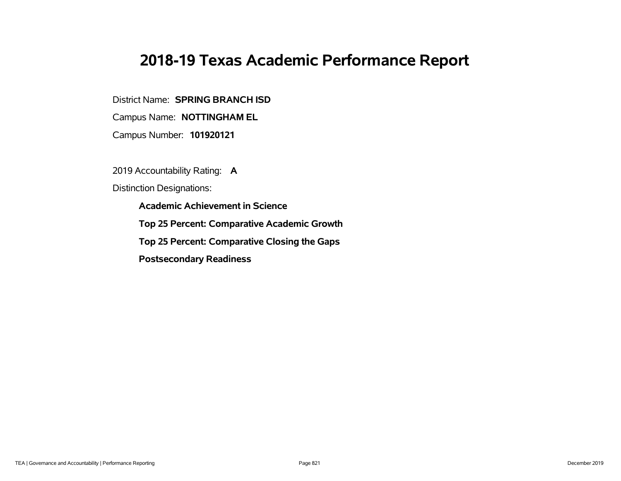### **2018-19 Texas Academic Performance Report**

District Name: **SPRING BRANCH ISD**

Campus Name: **NOTTINGHAM EL**

Campus Number: **101920121**

2019 Accountability Rating: **A**

Distinction Designations:

**Academic Achievement in Science Top 25 Percent: Comparative Academic Growth Top 25 Percent: Comparative Closing the Gaps Postsecondary Readiness**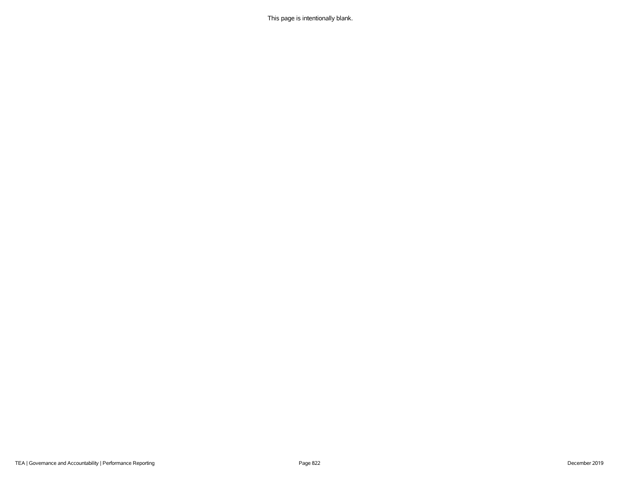This page is intentionally blank.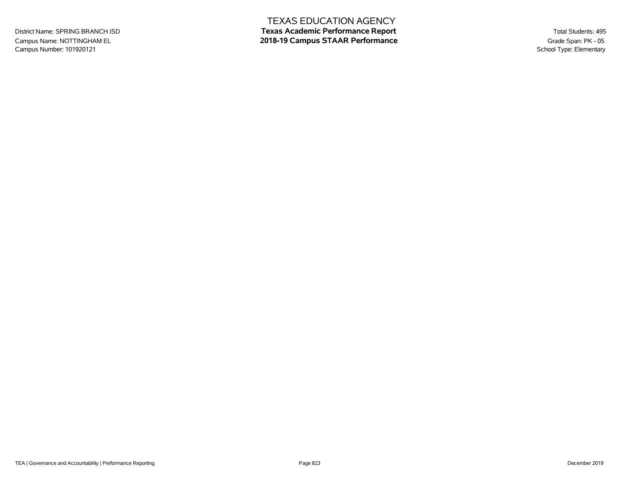Campus Name: NOTTINGHAM EL **2018-19 Campus STAAR Performance** Grade Span: PK - 05<br>Campus Number: 101920121<br>School Type: Elementary Campus Number: 101920121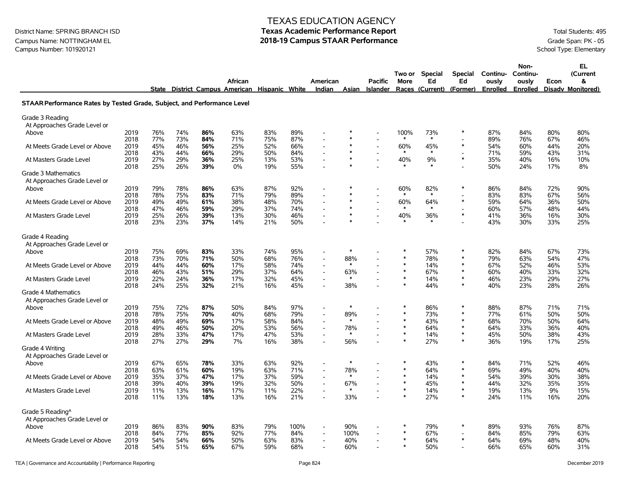Campus Name: NOTTINGHAM EL **2018-19 Campus STAAR Performance** Grade Span: PK - 05<br>Campus Number: 101920121<br>School Type: Elementary Campus Number: 101920121

|                                                                         |              |            |            |            |                          |                |            |                          |                  |                          |                  |                |                |                 | Non-            |            | EL                |
|-------------------------------------------------------------------------|--------------|------------|------------|------------|--------------------------|----------------|------------|--------------------------|------------------|--------------------------|------------------|----------------|----------------|-----------------|-----------------|------------|-------------------|
|                                                                         |              |            |            |            |                          |                |            |                          |                  |                          |                  | Two or Special | <b>Special</b> | Continu-        | Continu-        |            | (Current          |
|                                                                         |              |            |            |            | African                  |                |            | American                 |                  | <b>Pacific</b>           | <b>More</b>      | Ed             | Ed             | ously           | ously           | Econ       | &                 |
|                                                                         |              | State      |            |            | District Campus American | Hispanic White |            | Indian                   | Asian            | <b>Islander</b>          | Races            | (Current)      | (Former)       | <b>Enrolled</b> | <b>Enrolled</b> |            | Disadv Monitored) |
| STAAR Performance Rates by Tested Grade, Subject, and Performance Level |              |            |            |            |                          |                |            |                          |                  |                          |                  |                |                |                 |                 |            |                   |
| Grade 3 Reading                                                         |              |            |            |            |                          |                |            |                          |                  |                          |                  |                |                |                 |                 |            |                   |
| At Approaches Grade Level or                                            |              |            |            |            |                          |                |            |                          |                  |                          |                  |                |                |                 |                 |            |                   |
| Above                                                                   | 2019<br>2018 | 76%<br>77% | 74%<br>73% | 86%<br>84% | 63%<br>71%               | 83%<br>75%     | 89%<br>87% |                          | $\ast$           |                          | 100%<br>$\ast$   | 73%<br>$\ast$  |                | 87%<br>89%      | 84%<br>76%      | 80%<br>67% | 80%<br>46%        |
| At Meets Grade Level or Above                                           | 2019<br>2018 | 45%<br>43% | 46%<br>44% | 56%<br>66% | 25%<br>29%               | 52%<br>50%     | 66%<br>84% |                          | $\ast$           |                          | 60%<br>$\ast$    | 45%<br>$\ast$  | $\ast$         | 54%<br>71%      | 60%<br>59%      | 44%<br>43% | 20%<br>31%        |
| At Masters Grade Level                                                  | 2019<br>2018 | 27%<br>25% | 29%<br>26% | 36%<br>39% | 25%<br>$0\%$             | 13%<br>19%     | 53%<br>55% |                          | $\ast$<br>$\ast$ | $\overline{\phantom{a}}$ | 40%<br>*         | 9%<br>∗        | $\ast$         | 35%<br>50%      | 40%<br>24%      | 16%<br>17% | 10%<br>8%         |
| Grade 3 Mathematics                                                     |              |            |            |            |                          |                |            |                          |                  |                          |                  |                |                |                 |                 |            |                   |
| At Approaches Grade Level or                                            |              |            |            |            |                          |                |            |                          |                  |                          |                  |                |                |                 |                 |            |                   |
| Above                                                                   | 2019         | 79%        | 78%        | 86%        | 63%                      | 87%            | 92%        |                          |                  |                          | 60%              | 82%            |                | 86%             | 84%             | 72%        | 90%               |
|                                                                         | 2018         | 78%        | 75%        | 83%        | 71%                      | 79%            | 89%        |                          | $\ast$           |                          | $\ast$           | $\ast$         |                | 83%             | 83%             | 67%        | 56%               |
| At Meets Grade Level or Above                                           | 2019         | 49%        | 49%        | 61%        | 38%                      | 48%            | 70%        |                          | $\ast$           |                          | 60%<br>$\ast$    | 64%<br>$\ast$  |                | 59%             | 64%             | 36%        | 50%               |
| At Masters Grade Level                                                  | 2018<br>2019 | 47%<br>25% | 46%<br>26% | 59%<br>39% | 29%<br>13%               | 37%<br>30%     | 74%<br>46% |                          | $\ast$           | $\blacksquare$           | 40%              | 36%            | $\ast$         | 60%<br>41%      | 57%<br>36%      | 48%<br>16% | 44%<br>30%        |
|                                                                         | 2018         | 23%        | 23%        | 37%        | 14%                      | 21%            | 50%        |                          | $\ast$           |                          |                  |                |                | 43%             | 30%             | 33%        | 25%               |
| Grade 4 Reading                                                         |              |            |            |            |                          |                |            |                          |                  |                          |                  |                |                |                 |                 |            |                   |
| At Approaches Grade Level or                                            |              |            |            |            |                          |                |            |                          |                  |                          |                  |                |                |                 |                 |            |                   |
| Above                                                                   | 2019         | 75%        | 69%        | 83%        | 33%                      | 74%            | 95%        |                          | ∗                |                          |                  | 57%            |                | 82%             | 84%             | 67%        | 73%               |
|                                                                         | 2018         | 73%        | 70%        | 71%        | 50%                      | 68%            | 76%        |                          | 88%<br>$\ast$    |                          |                  | 78%            |                | 79%             | 63%             | 54%        | 47%               |
| At Meets Grade Level or Above                                           | 2019<br>2018 | 44%<br>46% | 44%<br>43% | 60%<br>51% | 17%<br>29%               | 58%<br>37%     | 74%<br>64% | $\blacksquare$           | 63%              | $\blacksquare$           | $\ast$           | 14%<br>67%     |                | 67%<br>60%      | 52%<br>40%      | 46%<br>33% | 53%<br>32%        |
| At Masters Grade Level                                                  | 2019         | 22%        | 24%        | 36%        | 17%                      | 32%            | 45%        |                          | $\ast$           | $\overline{a}$           | $\ast$           | 14%            |                | 46%             | 23%             | 29%        | 27%               |
|                                                                         | 2018         | 24%        | 25%        | 32%        | 21%                      | 16%            | 45%        |                          | 38%              |                          | $\ast$           | 44%            | $\ast$         | 40%             | 23%             | 28%        | 26%               |
| Grade 4 Mathematics                                                     |              |            |            |            |                          |                |            |                          |                  |                          |                  |                |                |                 |                 |            |                   |
| At Approaches Grade Level or                                            |              |            |            |            |                          |                |            |                          |                  |                          |                  |                |                |                 |                 |            |                   |
| Above                                                                   | 2019         | 75%        | 72%        | 87%        | 50%                      | 84%            | 97%        |                          | $\ast$           |                          |                  | 86%            |                | 88%             | 87%             | 71%        | 71%               |
|                                                                         | 2018         | 78%        | 75%        | 70%        | 40%                      | 68%            | 79%        | $\overline{\phantom{a}}$ | 89%              | $\overline{\phantom{a}}$ |                  | 73%            |                | 77%             | 61%             | 50%        | 50%               |
| At Meets Grade Level or Above                                           | 2019         | 48%        | 49%        | 69%        | 17%                      | 58%            | 84%        |                          | $\ast$           |                          |                  | 43%            |                | 68%             | 70%             | 50%        | 64%               |
|                                                                         | 2018         | 49%        | 46%        | 50%        | 20%                      | 53%            | 56%        | $\overline{\phantom{a}}$ | 78%              | $\overline{\phantom{a}}$ | $\ast$<br>$\ast$ | 64%            |                | 64%             | 33%             | 36%        | 40%               |
| At Masters Grade Level                                                  | 2019<br>2018 | 28%<br>27% | 33%<br>27% | 47%<br>29% | 17%<br>7%                | 47%<br>16%     | 53%<br>38% |                          | $\ast$<br>56%    | $\overline{a}$           |                  | 14%<br>27%     |                | 45%<br>36%      | 50%<br>19%      | 38%<br>17% | 43%<br>25%        |
| Grade 4 Writing                                                         |              |            |            |            |                          |                |            |                          |                  |                          |                  |                |                |                 |                 |            |                   |
| At Approaches Grade Level or                                            |              |            |            |            |                          |                |            |                          |                  |                          |                  |                |                |                 |                 |            |                   |
| Above                                                                   | 2019         | 67%        | 65%        | 78%        | 33%                      | 63%            | 92%        |                          | $\ast$           |                          |                  | 43%            |                | 84%             | 71%             | 52%        | 46%               |
|                                                                         | 2018         | 63%        | 61%        | 60%        | 19%                      | 63%            | 71%        |                          | 78%              |                          |                  | 64%            |                | 69%             | 49%             | 40%        | 40%               |
| At Meets Grade Level or Above                                           | 2019         | 35%        | 37%        | 47%        | 17%                      | 37%            | 59%        |                          | $\ast$           | $\overline{a}$           |                  | 14%            |                | 54%             | 39%             | 30%        | 38%               |
|                                                                         | 2018         | 39%        | 40%        | 39%        | 19%                      | 32%            | 50%        |                          | 67%              | $\overline{\phantom{a}}$ | $\ast$           | 45%            |                | 44%             | 32%             | 35%        | 35%               |
| At Masters Grade Level                                                  | 2019         | 11%        | 13%        | 16%        | 17%                      | 11%            | 22%        |                          | $\ast$           | $\overline{a}$           | $\ast$<br>$\ast$ | 14%            |                | 19%             | 13%             | 9%         | 15%               |
|                                                                         | 2018         | 11%        | 13%        | 18%        | 13%                      | 16%            | 21%        |                          | 33%              | $\overline{a}$           |                  | 27%            |                | 24%             | 11%             | 16%        | 20%               |
| Grade 5 Reading^                                                        |              |            |            |            |                          |                |            |                          |                  |                          |                  |                |                |                 |                 |            |                   |
| At Approaches Grade Level or                                            |              |            |            |            |                          |                |            |                          |                  |                          |                  |                |                |                 |                 |            |                   |
| Above                                                                   | 2019         | 86%        | 83%        | 90%        | 83%                      | 79%            | 100%       |                          | 90%              |                          |                  | 79%            |                | 89%             | 93%             | 76%        | 87%               |
|                                                                         | 2018         | 84%        | 77%        | 85%        | 92%                      | 77%            | 84%        |                          | 100%             | $\blacksquare$           |                  | 67%            |                | 84%             | 85%             | 79%        | 63%               |
| At Meets Grade Level or Above                                           | 2019         | 54%        | 54%        | 66%        | 50%                      | 63%            | 83%        |                          | 40%              |                          |                  | 64%            |                | 64%             | 69%             | 48%        | 40%               |
|                                                                         | 2018         | 54%        | 51%        | 65%        | 67%                      | 59%            | 68%        |                          | 60%              |                          | $\ast$           | 50%            |                | 66%             | 65%             | 60%        | 31%               |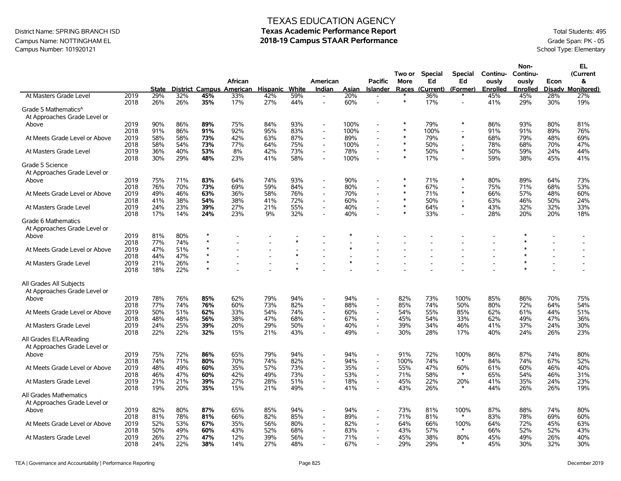## District Name: SPRING BRANCH ISD **Texas Academic Performance Report** Total Students: 495

Campus Name: NOTTINGHAM EL **2018-19 Campus STAAR Performance** Grade Span: PK - 05<br>Campus Number: 101920121<br>School Type: Elementary Campus Number: 101920121

|                                  |              |            |                 |            |                                 |            |            |                          |                                    |                          |                  |                |                          |                 | Non-            |               | EL         |
|----------------------------------|--------------|------------|-----------------|------------|---------------------------------|------------|------------|--------------------------|------------------------------------|--------------------------|------------------|----------------|--------------------------|-----------------|-----------------|---------------|------------|
|                                  |              |            |                 |            |                                 |            |            |                          |                                    |                          | Two or           | <b>Special</b> | Special                  | Continu-        | Continu-        |               | (Current   |
|                                  |              |            |                 |            | <b>African</b>                  |            |            | American                 |                                    | <b>Pacific</b>           | <b>More</b>      | Ed             | Ed                       | ously           | ously           | Econ          | &          |
|                                  |              | State      | <b>District</b> |            | <b>Campus American Hispanic</b> |            | White      | Indian                   | Asian                              | <b>Islander</b>          | Races            | (Current)      | (Former)                 | <b>Enrolled</b> | <b>Enrolled</b> | <b>Disadv</b> | Monitored) |
| At Masters Grade Level           | 2019<br>2018 | 29%<br>26% | 32%<br>26%      | 45%<br>35% | 33%<br>17%                      | 42%<br>27% | 59%<br>44% | $\overline{\phantom{a}}$ | 20%<br>60%                         | $\overline{a}$           | $\ast$           | 36%<br>17%     | $\ast$<br>$\overline{a}$ | 45%<br>41%      | 45%<br>29%      | 28%<br>30%    | 27%<br>19% |
| Grade 5 Mathematics <sup>^</sup> |              |            |                 |            |                                 |            |            |                          |                                    |                          |                  |                |                          |                 |                 |               |            |
| At Approaches Grade Level or     |              |            |                 |            |                                 |            |            |                          |                                    |                          |                  |                |                          |                 |                 |               |            |
| Above                            | 2019         | 90%        | 86%             | 89%        | 75%                             | 84%        | 93%        | $\blacksquare$           | 100%                               |                          |                  | 79%            |                          | 86%             | 93%             | 80%           | 81%        |
|                                  | 2018         | 91%        | 86%             | 91%        | 92%                             | 95%        | 83%        | $\blacksquare$           | 100%                               |                          | $\ast$           | 100%           |                          | 91%             | 91%             | 89%           | 76%        |
| At Meets Grade Level or Above    | 2019         | 58%        | 58%             | 73%        | 42%                             | 63%        | 87%        | $\blacksquare$           | 89%                                | $\overline{a}$           | $\ast$           | 79%            | $\ast$                   | 68%             | 79%             | 48%           | 69%        |
|                                  | 2018         | 58%        | 54%             | 73%        | 77%                             | 64%        | 75%        |                          | 100%                               |                          | $\ast$           | 50%            |                          | 78%             | 68%             | 70%           | 47%        |
| At Masters Grade Level           | 2019         | 36%        | 40%             | 53%        | 8%                              | 42%        | 73%        | $\blacksquare$           | 78%                                |                          | $\ast$<br>$\ast$ | 50%            | $\ast$                   | 50%             | 59%             | 24%           | 44%        |
| Grade 5 Science                  | 2018         | 30%        | 29%             | 48%        | 23%                             | 41%        | 58%        |                          | 100%                               | $\overline{a}$           |                  | 17%            |                          | 59%             | 38%             | 45%           | 41%        |
| At Approaches Grade Level or     |              |            |                 |            |                                 |            |            |                          |                                    |                          |                  |                |                          |                 |                 |               |            |
| Above                            | 2019         | 75%        | 71%             | 83%        | 64%                             | 74%        | 93%        | $\overline{\phantom{a}}$ | 90%                                |                          | ∗                | 71%            | ∗                        | 80%             | 89%             | 64%           | 73%        |
|                                  | 2018         | 76%        | 70%             | 73%        | 69%                             | 59%        | 84%        |                          | 80%                                |                          | $\ast$           | 67%            |                          | 75%             | 71%             | 68%           | 53%        |
| At Meets Grade Level or Above    | 2019         | 49%        | 46%             | 63%        | 36%                             | 58%        | 76%        | $\blacksquare$           | 70%                                |                          | $\ast$           | 71%            | $\ast$                   | 66%             | 57%             | 48%           | 60%        |
|                                  | 2018         | 41%        | 38%             | 54%        | 38%                             | 41%        | 72%        |                          | 60%                                |                          | $\ast$           | 50%            |                          | 63%             | 46%             | 50%           | 24%        |
| At Masters Grade Level           | 2019         | 24%        | 23%             | 39%        | 27%                             | 21%        | 55%        | $\overline{\phantom{a}}$ | 40%                                | $\overline{a}$           | $\ast$           | 64%            | $\ast$                   | 43%             | 32%             | 32%           | 33%        |
|                                  | 2018         | 17%        | 14%             | 24%        | 23%                             | 9%         | 32%        |                          | 40%                                |                          | $\ast$           | 33%            | $\overline{a}$           | 28%             | 20%             | 20%           | 18%        |
| Grade 6 Mathematics              |              |            |                 |            |                                 |            |            |                          |                                    |                          |                  |                |                          |                 |                 |               |            |
|                                  |              |            |                 |            |                                 |            |            |                          |                                    |                          |                  |                |                          |                 |                 |               |            |
| At Approaches Grade Level or     |              |            |                 | $\star$    |                                 |            |            |                          |                                    |                          |                  |                |                          |                 |                 |               |            |
| Above                            | 2019         | 81%        | 80%             |            |                                 |            |            |                          |                                    |                          |                  |                |                          |                 |                 |               |            |
|                                  | 2018         | 77%        | 74%             | $\star$    |                                 |            |            |                          | $\ast$                             |                          |                  |                |                          |                 |                 |               |            |
| At Meets Grade Level or Above    | 2019         | 47%        | 51%             | $\star$    |                                 |            | $\ast$     |                          |                                    |                          |                  |                |                          |                 |                 |               |            |
|                                  | 2018         | 44%        | 47%             | $\star$    |                                 |            |            |                          | $\overline{\phantom{a}}$<br>$\ast$ | $\overline{\phantom{a}}$ |                  |                |                          |                 |                 |               |            |
| At Masters Grade Level           | 2019<br>2018 | 21%<br>18% | 26%<br>22%      | $\star$    |                                 |            |            |                          |                                    |                          |                  |                |                          |                 |                 |               |            |
|                                  |              |            |                 |            |                                 |            |            |                          |                                    |                          |                  |                |                          |                 |                 |               |            |
| All Grades All Subjects          |              |            |                 |            |                                 |            |            |                          |                                    |                          |                  |                |                          |                 |                 |               |            |
| At Approaches Grade Level or     |              |            |                 |            |                                 |            |            |                          |                                    |                          |                  |                |                          |                 |                 |               |            |
| Above                            | 2019         | 78%        | 76%             | 85%        | 62%                             | 79%        | 94%        |                          | 94%                                | $\overline{a}$           | 82%              | 73%            | 100%                     | 85%             | 86%             | 70%           | 75%        |
|                                  | 2018         | 77%        | 74%             | 76%        | 60%                             | 73%        | 82%        |                          | 88%                                | $\overline{\phantom{a}}$ | 85%              | 74%            | 50%                      | 80%             | 72%             | 64%           | 54%        |
| At Meets Grade Level or Above    | 2019         | 50%        | 51%             | 62%        | 33%                             | 54%        | 74%        | $\overline{\phantom{a}}$ | 60%                                | $\overline{\phantom{a}}$ | 54%              | 55%            | 85%                      | 62%             | 61%             | 44%           | 51%        |
|                                  | 2018         | 48%        | 48%             | 56%        | 38%                             | 47%        | 68%        |                          | 67%                                |                          | 45%              | 54%            | 33%                      | 62%             | 49%             | 47%           | 36%        |
| At Masters Grade Level           | 2019         | 24%        | 25%             | 39%        | 20%                             | 29%        | 50%        | $\overline{\phantom{a}}$ | 40%                                | $\overline{\phantom{a}}$ | 39%              | 34%            | 46%                      | 41%             | 37%             | 24%           | 30%        |
|                                  | 2018         | 22%        | 22%             | 32%        | 15%                             | 21%        | 43%        |                          | 49%                                | $\overline{a}$           | 30%              | 28%            | 17%                      | 40%             | 24%             | 26%           | 23%        |
| All Grades ELA/Reading           |              |            |                 |            |                                 |            |            |                          |                                    |                          |                  |                |                          |                 |                 |               |            |
| At Approaches Grade Level or     |              |            |                 |            |                                 |            |            |                          |                                    |                          |                  |                |                          |                 |                 |               |            |
| Above                            | 2019         | 75%        | 72%             | 86%        | 65%                             | 79%        | 94%        | $\blacksquare$           | 94%                                | $\overline{a}$           | 91%              | 72%            | 100%                     | 86%             | 87%             | 74%           | 80%        |
|                                  | 2018         | 74%        | 71%             | 80%        | 70%                             | 74%        | 82%        |                          | 94%                                |                          | 100%             | 74%            | $\ast$                   | 84%             | 74%             | 67%           | 52%        |
| At Meets Grade Level or Above    | 2019         | 48%        | 49%             | 60%        | 35%                             | 57%        | 73%        |                          | 35%                                |                          | 55%              | 47%            | 60%                      | 61%             | 60%             | 46%           | 40%        |
|                                  | 2018         | 46%        | 47%             | 60%        | 42%                             | 49%        | 73%        | $\overline{\phantom{a}}$ | 53%                                | $\blacksquare$           | 71%              | 58%            | $\ast$                   | 65%             | 54%             | 46%           | 31%        |
| At Masters Grade Level           | 2019         | 21%        | 21%             | 39%        | 27%                             | 28%        | 51%        |                          | 18%                                |                          | 45%              | 22%            | 20%                      | 41%             | 35%             | 24%           | 23%        |
|                                  | 2018         | 19%        | 20%             | 35%        | 15%                             | 21%        | 49%        |                          | 41%                                |                          | 43%              | 26%            |                          | 44%             | 26%             | 26%           | 19%        |
| All Grades Mathematics           |              |            |                 |            |                                 |            |            |                          |                                    |                          |                  |                |                          |                 |                 |               |            |
| At Approaches Grade Level or     |              |            |                 |            |                                 |            |            |                          |                                    |                          |                  |                |                          |                 |                 |               |            |
| Above                            | 2019         | 82%        | 80%             | 87%        | 65%                             | 85%        | 94%        | $\overline{\phantom{a}}$ | 94%                                | $\overline{\phantom{a}}$ | 73%              | 81%            | 100%                     | 87%             | 88%             | 74%           | 80%        |
|                                  | 2018         | 81%        | 78%             | 81%        | 66%                             | 82%        | 85%        |                          | 89%                                |                          | 71%              | 81%            | ∗                        | 83%             | 78%             | 69%           | 60%        |
| At Meets Grade Level or Above    | 2019         | 52%        | 53%             | 67%        | 35%                             | 56%        | 80%        | $\overline{\phantom{a}}$ | 82%                                | $\overline{\phantom{a}}$ | 64%              | 66%            | 100%                     | 64%             | 72%             | 45%           | 63%        |
|                                  | 2018         | 50%        | 49%             | 60%        | 43%                             | 52%        | 68%        | $\overline{\phantom{a}}$ | 83%                                | $\overline{a}$           | 43%              | 57%            | ∗                        | 66%             | 52%             | 52%           | 43%        |
| At Masters Grade Level           | 2019         | 26%        | 27%             | 47%        | 12%                             | 39%        | 56%        |                          | 71%                                |                          | 45%              | 38%            | 80%                      | 45%             | 49%             | 26%           | 40%        |
|                                  | 2018         | 24%        | 22%             | 38%        | 14%                             | 27%        | 48%        |                          | 67%                                |                          | 29%              | 29%            | ∗                        | 45%             | 30%             | 32%           | 30%        |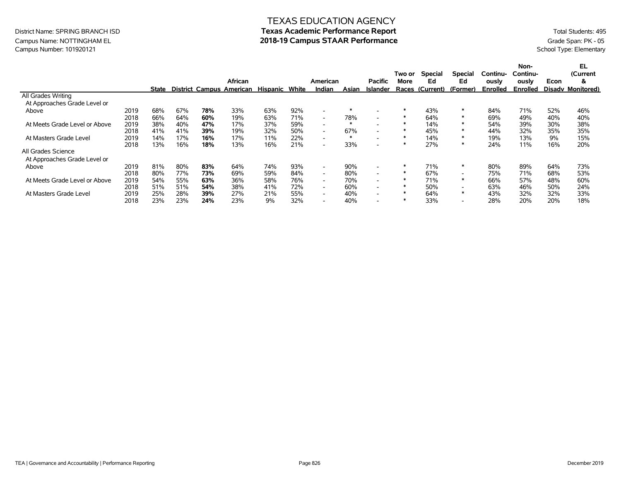## District Name: SPRING BRANCH ISD **Texas Academic Performance Report** Total Students: 495

Campus Name: NOTTINGHAM EL **2018-19 Campus STAAR Performance** Grade Span: PK - 05<br>Campus Number: 101920121<br>School Type: Elementary Campus Number: 101920121

|                               |      |       |     |     |                          |          |       |                          |       |                          | Two or | Special         | <b>Special</b>           | Continu- | Non-<br>Continu- |      | EL<br>(Current    |
|-------------------------------|------|-------|-----|-----|--------------------------|----------|-------|--------------------------|-------|--------------------------|--------|-----------------|--------------------------|----------|------------------|------|-------------------|
|                               |      |       |     |     | African                  |          |       | American                 |       | <b>Pacific</b>           | More   | Ed              | Ed                       | ously    | ously            | Econ | &                 |
|                               |      | State |     |     | District Campus American | Hispanic | White | Indian                   | Asian | <b>Islander</b>          |        | Races (Current) | (Former)                 | Enrolled | <b>Enrolled</b>  |      | Disady Monitored) |
| All Grades Writing            |      |       |     |     |                          |          |       |                          |       |                          |        |                 |                          |          |                  |      |                   |
| At Approaches Grade Level or  |      |       |     |     |                          |          |       |                          |       |                          |        |                 |                          |          |                  |      |                   |
| Above                         | 2019 | 68%   | 67% | 78% | 33%                      | 63%      | 92%   | $\overline{\phantom{a}}$ |       | $\overline{\phantom{0}}$ |        | 43%             | ∗                        | 84%      | 71%              | 52%  | 46%               |
|                               | 2018 | 66%   | 64% | 60% | 19%                      | 63%      | 71%   | $\overline{\phantom{0}}$ | 78%   | $\sim$                   | ∗      | 64%             | $\ast$                   | 69%      | 49%              | 40%  | 40%               |
| At Meets Grade Level or Above | 2019 | 38%   | 40% | 47% | 17%                      | 37%      | 59%   | $\overline{\phantom{a}}$ |       | $\overline{\phantom{a}}$ |        | 14%             | $\ast$                   | 54%      | 39%              | 30%  | 38%               |
|                               | 2018 | 41%   | 41% | 39% | 19%                      | 32%      | 50%   | $\overline{\phantom{a}}$ | 67%   | $\sim$                   | ∗      | 45%             | $\ast$                   | 44%      | 32%              | 35%  | 35%               |
| At Masters Grade Level        | 2019 | 14%   | 17% | 16% | 17%                      | 11%      | 22%   | $\overline{\phantom{a}}$ |       | $\overline{\phantom{a}}$ | ∗      | 14%             | $\ast$                   | 19%      | 13%              | 9%   | 15%               |
|                               | 2018 | 13%   | 16% | 18% | 13%                      | 16%      | 21%   | $\overline{\phantom{0}}$ | 33%   | $\overline{\phantom{a}}$ | ∗      | 27%             | $\ast$                   | 24%      | 11%              | 16%  | 20%               |
| All Grades Science            |      |       |     |     |                          |          |       |                          |       |                          |        |                 |                          |          |                  |      |                   |
| At Approaches Grade Level or  |      |       |     |     |                          |          |       |                          |       |                          |        |                 |                          |          |                  |      |                   |
| Above                         | 2019 | 81%   | 80% | 83% | 64%                      | 74%      | 93%   | $\overline{\phantom{a}}$ | 90%   | $\overline{\phantom{a}}$ |        | 71%             | ∗                        | 80%      | 89%              | 64%  | 73%               |
|                               | 2018 | 80%   | 77% | 73% | 69%                      | 59%      | 84%   | $\overline{\phantom{a}}$ | 80%   | $\overline{\phantom{a}}$ | ∗      | 67%             | $\overline{\phantom{a}}$ | 75%      | 71%              | 68%  | 53%               |
| At Meets Grade Level or Above | 2019 | 54%   | 55% | 63% | 36%                      | 58%      | 76%   | $\overline{\phantom{0}}$ | 70%   | $\overline{\phantom{0}}$ | ∗      | 71%             | ∗                        | 66%      | 57%              | 48%  | 60%               |
|                               | 2018 | 51%   | 51% | 54% | 38%                      | 41%      | 72%   | $\overline{\phantom{0}}$ | 60%   | $\overline{\phantom{a}}$ | ∗      | 50%             | $\overline{\phantom{a}}$ | 63%      | 46%              | 50%  | 24%               |
| At Masters Grade Level        | 2019 | 25%   | 28% | 39% | 27%                      | 21%      | 55%   | $\overline{\phantom{a}}$ | 40%   | $\overline{\phantom{a}}$ | ∗      | 64%             | ∗                        | 43%      | 32%              | 32%  | 33%               |
|                               | 2018 | 23%   | 23% | 24% | 23%                      | 9%       | 32%   | $\overline{\phantom{a}}$ | 40%   | $\overline{\phantom{a}}$ |        | 33%             | -                        | 28%      | 20%              | 20%  | 18%               |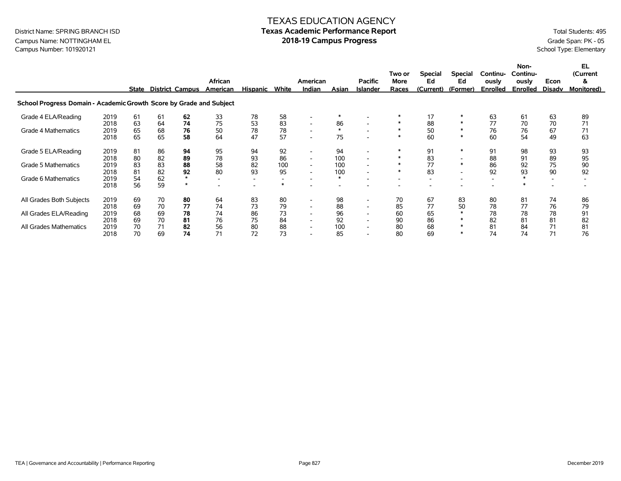### TEXAS EDUCATION AGENCY District Name: SPRING BRANCH ISD **Texas Academic Performance Report** Total Students: 495

Campus Name: NOTTINGHAM EL **2018-19 Campus Progress** Grade Span: PK - 05<br>Campus Number: 101920121<br>School Type: Elementary Campus Number: 101920121

|                                                                     |      |       |    |                        |          |                          |        |                          |        |                          | Two or      | <b>Special</b> | <b>Special</b> | Continu-        | Non-<br>Continu- |        | <b>EL</b><br>(Current |
|---------------------------------------------------------------------|------|-------|----|------------------------|----------|--------------------------|--------|--------------------------|--------|--------------------------|-------------|----------------|----------------|-----------------|------------------|--------|-----------------------|
|                                                                     |      |       |    |                        | African  |                          |        | American                 |        | <b>Pacific</b>           | <b>More</b> | Ed             | Ed             | ously           | ously            | Econ   | &                     |
|                                                                     |      | State |    | <b>District Campus</b> | American | <b>Hispanic</b>          | White  | Indian                   | Asian  | Islander                 | Races       | (Current)      | (Former)       | <b>Enrolled</b> | Enrolled         | Disadv | <b>Monitored)</b>     |
| School Progress Domain - Academic Growth Score by Grade and Subject |      |       |    |                        |          |                          |        |                          |        |                          |             |                |                |                 |                  |        |                       |
| Grade 4 ELA/Reading                                                 | 2019 | 61    | 61 | 62                     | 33       | 78                       | 58     | $\overline{\phantom{a}}$ |        |                          |             | 17             |                | 63              | 61               | 63     | 89                    |
|                                                                     | 2018 | 63    | 64 | 74                     | 75       | 53                       | 83     | $\overline{\phantom{a}}$ | 86     | $\overline{\phantom{a}}$ |             | 88             |                | 77              | 70               | 70     | 71                    |
| Grade 4 Mathematics                                                 | 2019 | 65    | 68 | 76                     | 50       | 78                       | 78     | $\overline{\phantom{a}}$ | $\ast$ | $\overline{\phantom{0}}$ |             | 50             |                | 76              | 76               | 67     | 71                    |
|                                                                     | 2018 | 65    | 65 | 58                     | 64       | 47                       | 57     | $\overline{\phantom{a}}$ | 75     |                          |             | 60             |                | 60              | 54               | 49     | 63                    |
| Grade 5 ELA/Reading                                                 | 2019 | 81    | 86 | 94                     | 95       | 94                       | 92     | $\overline{\phantom{a}}$ | 94     |                          |             | 91             |                | 91              | 98               | 93     | 93                    |
|                                                                     | 2018 | 80    | 82 | 89                     | 78       | 93                       | 86     | $\overline{\phantom{a}}$ | 100    | $\overline{\phantom{a}}$ |             | 83             | ۰              | 88              | 91               | 89     | 95                    |
| Grade 5 Mathematics                                                 | 2019 | 83    | 83 | 88                     | 58       | 82                       | 100    | $\overline{\phantom{a}}$ | 100    | $\overline{\phantom{a}}$ |             | 77             |                | 86              | 92               | 75     | 90                    |
|                                                                     | 2018 | 81    | 82 | 92                     | 80       | 93                       | 95     | $\overline{\phantom{a}}$ | 100    | $\overline{\phantom{a}}$ | $\ast$      | 83             | ۰              | 92              | 93               | 90     | 92                    |
| Grade 6 Mathematics                                                 | 2019 | 54    | 62 |                        |          | $\overline{\phantom{a}}$ |        |                          |        |                          |             |                |                |                 |                  |        |                       |
|                                                                     | 2018 | 56    | 59 | $\star$                |          | $\overline{\phantom{a}}$ | $\ast$ |                          |        |                          |             |                |                |                 |                  |        |                       |
| All Grades Both Subjects                                            | 2019 | 69    | 70 | 80                     | 64       | 83                       | 80     | $\overline{\phantom{a}}$ | 98     | $\overline{\phantom{a}}$ | 70          | 67             | 83             | 80              | 81               | 74     | 86                    |
|                                                                     | 2018 | 69    | 70 | 77                     | 74       | 73                       | 79     | $\overline{\phantom{a}}$ | 88     | $\overline{\phantom{0}}$ | 85          | 77             | 50             | 78              | 77               | 76     | 79                    |
| All Grades ELA/Reading                                              | 2019 | 68    | 69 | 78                     | 74       | 86                       | 73     | $\overline{\phantom{a}}$ | 96     |                          | 60          | 65             |                | 78              | 78               | 78     | 91                    |
|                                                                     | 2018 | 69    | 70 | 81                     | 76       | 75                       | 84     | $\overline{\phantom{a}}$ | 92     |                          | 90          | 86             |                | 82              | 81               | 81     | 82                    |
| All Grades Mathematics                                              | 2019 | 70    | 71 | 82                     | 56       | 80                       | 88     | $\overline{\phantom{a}}$ | 100    |                          | 80          | 68             |                | 81              | 84               | 71     | 81                    |
|                                                                     | 2018 | 70    | 69 | 74                     | 71       | 72                       | 73     |                          | 85     |                          | 80          | 69             |                | 74              | 74               | 71     | 76                    |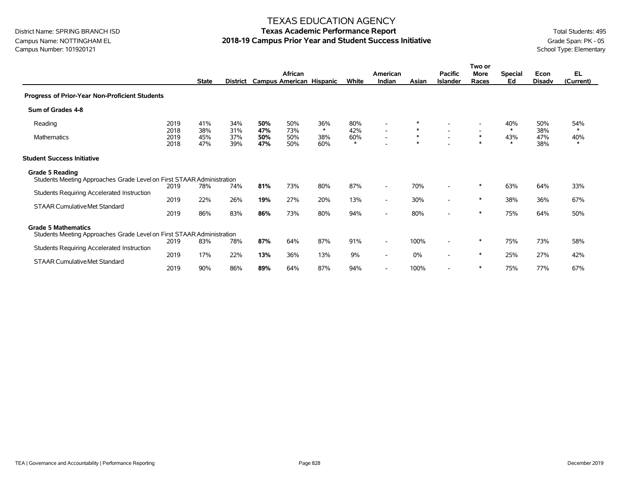### Campus Name: NOTTINGHAM EL **2018-19 Campus Prior Year and Student Success Initiative** Grade Span: PK - 05<br>Campus Number: 101920121<br>School Type: Elementary Campus Number: 101920121

#### TEXAS EDUCATION AGENCY

|                                                                                                                                                                                       |                              | <b>State</b>             | <b>District</b>          |                          | African<br><b>Campus American Hispanic</b> |                             | White                       | American<br>Indian                                                               | Asian                                | <b>Pacific</b><br><b>Islander</b>                              | Two or<br><b>More</b><br>Races                | <b>Special</b><br>Ed           | Econ<br><b>Disadv</b>    | <b>EL</b><br>(Current)         |
|---------------------------------------------------------------------------------------------------------------------------------------------------------------------------------------|------------------------------|--------------------------|--------------------------|--------------------------|--------------------------------------------|-----------------------------|-----------------------------|----------------------------------------------------------------------------------|--------------------------------------|----------------------------------------------------------------|-----------------------------------------------|--------------------------------|--------------------------|--------------------------------|
| Progress of Prior-Year Non-Proficient Students                                                                                                                                        |                              |                          |                          |                          |                                            |                             |                             |                                                                                  |                                      |                                                                |                                               |                                |                          |                                |
| Sum of Grades 4-8                                                                                                                                                                     |                              |                          |                          |                          |                                            |                             |                             |                                                                                  |                                      |                                                                |                                               |                                |                          |                                |
| Reading<br>Mathematics                                                                                                                                                                | 2019<br>2018<br>2019<br>2018 | 41%<br>38%<br>45%<br>47% | 34%<br>31%<br>37%<br>39% | 50%<br>47%<br>50%<br>47% | 50%<br>73%<br>50%<br>50%                   | 36%<br>$\ast$<br>38%<br>60% | 80%<br>42%<br>60%<br>$\ast$ | $\overline{\phantom{a}}$<br>$\overline{\phantom{a}}$<br>$\overline{\phantom{a}}$ | $\ast$<br>$\ast$<br>$\ast$<br>$\ast$ | $\overline{\phantom{a}}$<br>$\sim$<br>$\overline{\phantom{a}}$ | $\overline{\phantom{a}}$<br>$\ast$<br>$\star$ | 40%<br>$\ast$<br>43%<br>$\ast$ | 50%<br>38%<br>47%<br>38% | 54%<br>$\ast$<br>40%<br>$\ast$ |
| <b>Student Success Initiative</b>                                                                                                                                                     |                              |                          |                          |                          |                                            |                             |                             |                                                                                  |                                      |                                                                |                                               |                                |                          |                                |
| <b>Grade 5 Reading</b><br>Students Meeting Approaches Grade Level on First STAAR Administration<br>Students Requiring Accelerated Instruction<br><b>STAAR Cumulative Met Standard</b> | 2019<br>2019<br>2019         | 78%<br>22%<br>86%        | 74%<br>26%<br>83%        | 81%<br>19%<br>86%        | 73%<br>27%<br>73%                          | 80%<br>20%<br>80%           | 87%<br>13%<br>94%           | $\overline{\phantom{a}}$<br>$\overline{\phantom{a}}$<br>$\overline{\phantom{a}}$ | 70%<br>30%<br>80%                    | $\overline{\phantom{a}}$                                       | $\ast$<br>$\ast$<br>$\ast$                    | 63%<br>38%<br>75%              | 64%<br>36%<br>64%        | 33%<br>67%<br>50%              |
| <b>Grade 5 Mathematics</b><br>Students Meeting Approaches Grade Level on First STAAR Administration                                                                                   | 2019                         | 83%                      | 78%                      | 87%                      | 64%                                        | 87%                         | 91%                         | $\overline{\phantom{a}}$                                                         | 100%                                 |                                                                | ∗                                             | 75%                            | 73%                      | 58%                            |
| Students Requiring Accelerated Instruction<br><b>STAAR Cumulative Met Standard</b>                                                                                                    | 2019<br>2019                 | 17%<br>90%               | 22%<br>86%               | 13%<br>89%               | 36%<br>64%                                 | 13%<br>87%                  | 9%<br>94%                   | $\overline{\phantom{a}}$                                                         | 0%<br>100%                           |                                                                | $\ast$<br>∗                                   | 25%<br>75%                     | 27%<br>77%               | 42%<br>67%                     |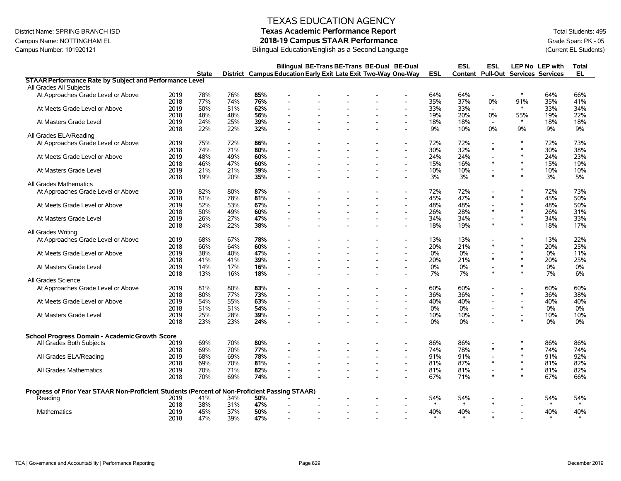### District Name: SPRING BRANCH ISD **Texas Academic Performance Report** Total Students: 495

Campus Name: NOTTINGHAM EL **2018-19 Campus STAAR Performance**<br>Campus Number: 101920121 Current EL Students) Bilingual Education/English as a Second Language (Current EL Students) Bilingual Education/English as a Second Language

|                                                                                                |      |       |     |     |                                                                | Bilingual BE-Trans BE-Trans BE-Dual BE-Dual |  |                |            | <b>ESL</b> | <b>ESL</b>               |                                   | LEP No LEP with | <b>Total</b> |
|------------------------------------------------------------------------------------------------|------|-------|-----|-----|----------------------------------------------------------------|---------------------------------------------|--|----------------|------------|------------|--------------------------|-----------------------------------|-----------------|--------------|
|                                                                                                |      | State |     |     | District Campus Education Early Exit Late Exit Two-Way One-Way |                                             |  |                | <b>ESL</b> | Content    |                          | <b>Pull-Out Services Services</b> |                 | EL           |
| <b>STAAR Performance Rate by Subject and Performance Level</b><br>All Grades All Subjects      |      |       |     |     |                                                                |                                             |  |                |            |            |                          |                                   |                 |              |
| At Approaches Grade Level or Above                                                             | 2019 | 78%   | 76% | 85% |                                                                |                                             |  |                | 64%        | 64%        | $\overline{\phantom{a}}$ | $\ast$                            | 64%             | 66%          |
|                                                                                                | 2018 | 77%   | 74% | 76% |                                                                |                                             |  |                | 35%        | 37%        | 0%                       | 91%                               | 35%             | 41%          |
| At Meets Grade Level or Above                                                                  | 2019 | 50%   | 51% | 62% |                                                                |                                             |  |                | 33%        | 33%        |                          | $\ast$                            | 33%             | 34%          |
|                                                                                                | 2018 | 48%   | 48% | 56% |                                                                |                                             |  |                | 19%        | 20%        | 0%                       | 55%                               | 19%             | 22%          |
| At Masters Grade Level                                                                         | 2019 | 24%   | 25% | 39% |                                                                |                                             |  |                | 18%        | 18%        |                          | $\ast$                            | 18%             | 18%          |
|                                                                                                | 2018 | 22%   | 22% | 32% |                                                                |                                             |  |                | 9%         | 10%        | 0%                       | 9%                                | 9%              | 9%           |
| All Grades ELA/Reading                                                                         |      |       |     |     |                                                                |                                             |  |                |            |            |                          |                                   |                 |              |
|                                                                                                |      |       |     |     |                                                                |                                             |  |                |            |            |                          |                                   |                 |              |
| At Approaches Grade Level or Above                                                             | 2019 | 75%   | 72% | 86% |                                                                |                                             |  |                | 72%        | 72%        |                          | $\ast$                            | 72%             | 73%          |
|                                                                                                | 2018 | 74%   | 71% | 80% |                                                                |                                             |  |                | 30%        | 32%        | $\ast$                   | $\ast$                            | 30%             | 38%          |
| At Meets Grade Level or Above                                                                  | 2019 | 48%   | 49% | 60% |                                                                |                                             |  | $\sim$         | 24%        | 24%        |                          | $\ast$                            | 24%             | 23%          |
|                                                                                                | 2018 | 46%   | 47% | 60% |                                                                |                                             |  |                | 15%        | 16%        | $\ast$                   |                                   | 15%             | 19%          |
| At Masters Grade Level                                                                         | 2019 | 21%   | 21% | 39% |                                                                |                                             |  | $\sim$         | 10%        | 10%        | $\overline{a}$           |                                   | 10%             | 10%          |
|                                                                                                | 2018 | 19%   | 20% | 35% |                                                                |                                             |  |                | 3%         | 3%         | $\ast$                   |                                   | 3%              | 5%           |
| All Grades Mathematics                                                                         |      |       |     |     |                                                                |                                             |  |                |            |            |                          |                                   |                 |              |
| At Approaches Grade Level or Above                                                             | 2019 | 82%   | 80% | 87% |                                                                |                                             |  |                | 72%        | 72%        |                          | $\ast$                            | 72%             | 73%          |
|                                                                                                | 2018 | 81%   | 78% | 81% |                                                                |                                             |  |                | 45%        | 47%        | $\ast$                   | $\ast$                            | 45%             | 50%          |
|                                                                                                |      |       |     | 67% |                                                                |                                             |  |                |            |            |                          | $\ast$                            |                 |              |
| At Meets Grade Level or Above                                                                  | 2019 | 52%   | 53% |     |                                                                |                                             |  |                | 48%        | 48%        | $\ast$                   |                                   | 48%             | 50%          |
|                                                                                                | 2018 | 50%   | 49% | 60% |                                                                |                                             |  |                | 26%        | 28%        |                          |                                   | 26%             | 31%          |
| At Masters Grade Level                                                                         | 2019 | 26%   | 27% | 47% |                                                                | $\overline{\phantom{a}}$                    |  |                | 34%        | 34%        |                          | $\ast$                            | 34%             | 33%          |
|                                                                                                | 2018 | 24%   | 22% | 38% |                                                                |                                             |  |                | 18%        | 19%        | $\ast$                   |                                   | 18%             | 17%          |
| All Grades Writing                                                                             |      |       |     |     |                                                                |                                             |  |                |            |            |                          |                                   |                 |              |
| At Approaches Grade Level or Above                                                             | 2019 | 68%   | 67% | 78% |                                                                |                                             |  |                | 13%        | 13%        |                          | $\ast$                            | 13%             | 22%          |
|                                                                                                | 2018 | 66%   | 64% | 60% |                                                                |                                             |  |                | 20%        | 21%        | $\ast$                   | $\ast$                            | 20%             | 25%          |
| At Meets Grade Level or Above                                                                  | 2019 | 38%   | 40% | 47% |                                                                |                                             |  |                | 0%         | $0\%$      |                          | $\ast$                            | 0%              | 11%          |
|                                                                                                | 2018 | 41%   | 41% | 39% |                                                                |                                             |  |                | 20%        | 21%        | $\ast$                   |                                   | 20%             | 25%          |
| At Masters Grade Level                                                                         | 2019 | 14%   | 17% | 16% |                                                                | $\overline{\phantom{a}}$                    |  | $\overline{a}$ | 0%         | 0%         |                          | $\ast$                            | 0%              | 0%           |
|                                                                                                | 2018 | 13%   | 16% | 18% |                                                                |                                             |  |                | 7%         | 7%         | $\ast$                   |                                   | 7%              | 6%           |
| All Grades Science                                                                             |      |       |     |     |                                                                |                                             |  |                |            |            |                          |                                   |                 |              |
|                                                                                                |      |       |     |     |                                                                |                                             |  |                |            |            |                          |                                   |                 |              |
| At Approaches Grade Level or Above                                                             | 2019 | 81%   | 80% | 83% |                                                                |                                             |  |                | 60%        | 60%        |                          |                                   | 60%             | 60%          |
|                                                                                                | 2018 | 80%   | 77% | 73% |                                                                |                                             |  |                | 36%        | 36%        | $\overline{a}$           | $\ast$                            | 36%             | 38%          |
| At Meets Grade Level or Above                                                                  | 2019 | 54%   | 55% | 63% |                                                                |                                             |  |                | 40%        | 40%        |                          |                                   | 40%             | 40%          |
|                                                                                                | 2018 | 51%   | 51% | 54% |                                                                |                                             |  |                | 0%         | 0%         |                          | $\ast$                            | 0%              | 0%           |
| At Masters Grade Level                                                                         | 2019 | 25%   | 28% | 39% |                                                                |                                             |  | $\sim$         | 10%        | 10%        |                          |                                   | 10%             | 10%          |
|                                                                                                | 2018 | 23%   | 23% | 24% |                                                                |                                             |  |                | 0%         | 0%         |                          |                                   | 0%              | 0%           |
|                                                                                                |      |       |     |     |                                                                |                                             |  |                |            |            |                          |                                   |                 |              |
| School Progress Domain - Academic Growth Score                                                 |      |       |     |     |                                                                |                                             |  |                |            |            |                          |                                   |                 |              |
| All Grades Both Subjects                                                                       | 2019 | 69%   | 70% | 80% |                                                                |                                             |  |                | 86%        | 86%        |                          |                                   | 86%             | 86%          |
|                                                                                                | 2018 | 69%   | 70% | 77% |                                                                |                                             |  |                | 74%        | 78%        | $\ast$                   |                                   | 74%             | 74%          |
|                                                                                                |      |       | 69% | 78% |                                                                |                                             |  |                | 91%        | 91%        |                          |                                   | 91%             | 92%          |
| All Grades ELA/Reading                                                                         | 2019 | 68%   |     |     |                                                                |                                             |  |                |            |            | $\ast$                   |                                   |                 |              |
|                                                                                                | 2018 | 69%   | 70% | 81% |                                                                |                                             |  |                | 81%        | 87%        |                          |                                   | 81%             | 82%          |
| All Grades Mathematics                                                                         | 2019 | 70%   | 71% | 82% |                                                                |                                             |  | $\sim$         | 81%        | 81%        |                          |                                   | 81%             | 82%          |
|                                                                                                | 2018 | 70%   | 69% | 74% |                                                                |                                             |  |                | 67%        | 71%        | $\ast$                   |                                   | 67%             | 66%          |
|                                                                                                |      |       |     |     |                                                                |                                             |  |                |            |            |                          |                                   |                 |              |
| Progress of Prior Year STAAR Non-Proficient Students (Percent of Non-Proficient Passing STAAR) |      |       |     |     |                                                                |                                             |  |                |            |            |                          |                                   |                 |              |
| Reading                                                                                        | 2019 | 41%   | 34% | 50% |                                                                |                                             |  |                | 54%        | 54%        |                          |                                   | 54%             | 54%          |
|                                                                                                | 2018 | 38%   | 31% | 47% |                                                                |                                             |  |                | $\ast$     | $\ast$     | $\ast$                   |                                   | $\ast$          | $\ast$       |
| Mathematics                                                                                    | 2019 | 45%   | 37% | 50% |                                                                |                                             |  |                | 40%        | 40%        |                          |                                   | 40%             | 40%          |
|                                                                                                | 2018 | 47%   | 39% | 47% |                                                                |                                             |  |                |            |            |                          |                                   |                 |              |
|                                                                                                |      |       |     |     |                                                                |                                             |  |                |            |            |                          |                                   |                 |              |

#### TEA | Governance and Accountability | Performance Reporting Page 829 Page 829 December 2019 December 2019 December 2019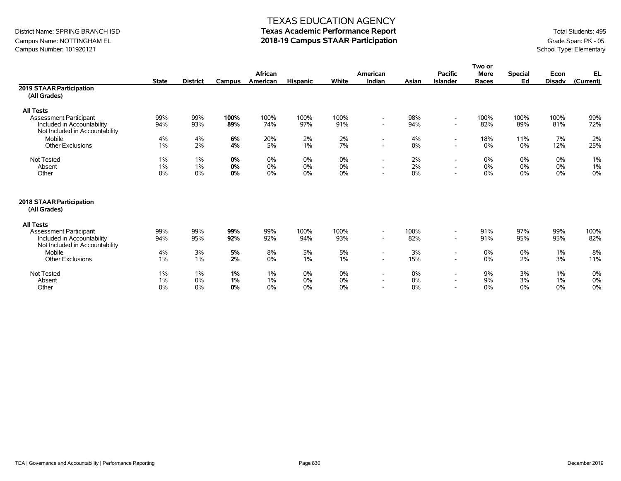# District Name: SPRING BRANCH ISD **Texas Academic Performance Report** Total Students: 495

Campus Name: NOTTINGHAM EL **2018-19 Campus STAAR Participation**<br>Campus Number: 101920121<br>School Type: Elementary Campus Number: 101920121

|                                                              |              |                 |               |                |                 |             |                                                      |             |                          | Two or      |                |               |             |
|--------------------------------------------------------------|--------------|-----------------|---------------|----------------|-----------------|-------------|------------------------------------------------------|-------------|--------------------------|-------------|----------------|---------------|-------------|
|                                                              |              |                 |               | <b>African</b> |                 |             | American                                             |             | <b>Pacific</b>           | <b>More</b> | <b>Special</b> | Econ          | EL          |
|                                                              | <b>State</b> | <b>District</b> | <b>Campus</b> | American       | <b>Hispanic</b> | White       | Indian                                               | Asian       | Islander                 | Races       | Ed             | <b>Disadv</b> | (Current)   |
| 2019 STAAR Participation                                     |              |                 |               |                |                 |             |                                                      |             |                          |             |                |               |             |
| (All Grades)                                                 |              |                 |               |                |                 |             |                                                      |             |                          |             |                |               |             |
| <b>All Tests</b>                                             |              |                 |               |                |                 |             |                                                      |             |                          |             |                |               |             |
| <b>Assessment Participant</b>                                | 99%          | 99%             | 100%          | 100%           | 100%            | 100%        | $\overline{\phantom{a}}$                             | 98%         | $\overline{\phantom{a}}$ | 100%        | 100%           | 100%          | 99%         |
| Included in Accountability<br>Not Included in Accountability | 94%          | 93%             | 89%           | 74%            | 97%             | 91%         | $\overline{\phantom{a}}$                             | 94%         | $\overline{\phantom{0}}$ | 82%         | 89%            | 81%           | 72%         |
| Mobile                                                       | 4%           | 4%              | 6%            | 20%            | 2%              | 2%          | $\overline{\phantom{a}}$                             | 4%          | $\overline{\phantom{a}}$ | 18%         | 11%            | 7%            | 2%          |
| <b>Other Exclusions</b>                                      | 1%           | 2%              | 4%            | 5%             | $1\%$           | 7%          | $\overline{\phantom{a}}$                             | 0%          | $\sim$                   | 0%          | 0%             | 12%           | 25%         |
| <b>Not Tested</b>                                            | 1%           | 1%              | 0%            | 0%             | 0%              | 0%          | $\overline{\phantom{a}}$                             | 2%          | $\overline{\phantom{a}}$ | 0%          | $0\%$          | 0%            | 1%          |
| Absent                                                       | 1%           | 1%              | 0%            | 0%             | $0\%$           | 0%          | $\overline{\phantom{a}}$                             | 2%          | $\overline{\phantom{a}}$ | 0%          | $0\%$          | 0%            | 1%          |
| Other                                                        | 0%           | 0%              | 0%            | 0%             | 0%              | 0%          | $\overline{\phantom{a}}$                             | 0%          | $\sim$                   | 0%          | 0%             | 0%            | 0%          |
| 2018 STAAR Participation<br>(All Grades)                     |              |                 |               |                |                 |             |                                                      |             |                          |             |                |               |             |
| <b>All Tests</b>                                             |              |                 |               |                |                 |             |                                                      |             |                          |             |                |               |             |
| Assessment Participant<br>Included in Accountability         | 99%<br>94%   | 99%<br>95%      | 99%<br>92%    | 99%<br>92%     | 100%<br>94%     | 100%<br>93% | $\overline{\phantom{a}}$<br>$\overline{\phantom{a}}$ | 100%<br>82% | $\overline{\phantom{a}}$ | 91%<br>91%  | 97%<br>95%     | 99%<br>95%    | 100%<br>82% |
| Not Included in Accountability<br>Mobile                     | 4%           | 3%              | 5%            | 8%             | 5%              | 5%          | $\overline{\phantom{a}}$                             | 3%          | $\overline{\phantom{a}}$ | 0%          | 0%             | 1%            | 8%          |
| <b>Other Exclusions</b>                                      | 1%           | 1%              | 2%            | 0%             | $1\%$           | $1\%$       | $\overline{\phantom{a}}$                             | 15%         | $\overline{\phantom{a}}$ | 0%          | 2%             | 3%            | 11%         |
| Not Tested                                                   | 1%           | 1%              | 1%            | 1%             | 0%              | 0%          | $\overline{\phantom{a}}$                             | 0%          | $\overline{\phantom{a}}$ | 9%          | 3%             | 1%            | 0%          |
| Absent                                                       | 1%           | 0%              | 1%            | 1%             | 0%              | 0%          | $\overline{\phantom{a}}$                             | 0%          | ۰.                       | 9%          | 3%             | 1%            | 0%          |
| Other                                                        | 0%           | 0%              | 0%            | 0%             | 0%              | 0%          | $\overline{\phantom{a}}$                             | 0%          | $\overline{\phantom{0}}$ | 0%          | $0\%$          | 0%            | 0%          |
|                                                              |              |                 |               |                |                 |             |                                                      |             |                          |             |                |               |             |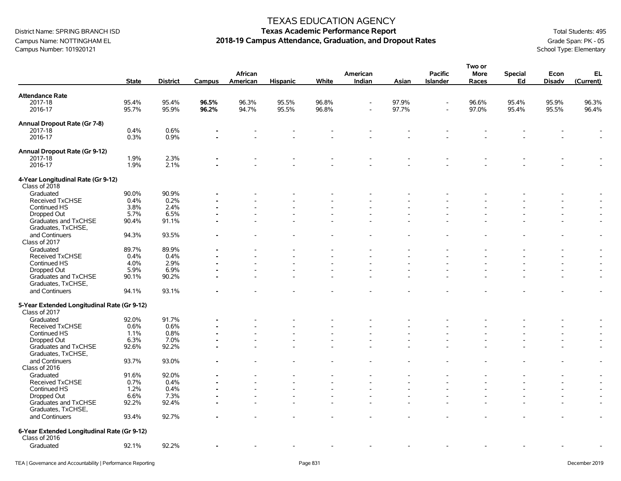Campus Name: NOTTINGHAM EL **2018-19 Campus Attendance, Graduation, and Dropout Rates** Grade Span: PK - 05 Campus Number: 101920121 Campus Number: 101920121 Campus Number: 101920121

|                                                              |              |                 |        |          |                 |       |          |       |                | Two or      |                |        |                          |
|--------------------------------------------------------------|--------------|-----------------|--------|----------|-----------------|-------|----------|-------|----------------|-------------|----------------|--------|--------------------------|
|                                                              |              |                 |        | African  |                 |       | American |       | <b>Pacific</b> | <b>More</b> | <b>Special</b> | Econ   | EL                       |
|                                                              | <b>State</b> | <b>District</b> | Campus | American | <b>Hispanic</b> | White | Indian   | Asian | Islander       | Races       | Ed             | Disadv | (Current)                |
| <b>Attendance Rate</b>                                       |              |                 |        |          |                 |       |          |       |                |             |                |        |                          |
| 2017-18                                                      | 95.4%        | 95.4%           | 96.5%  | 96.3%    | 95.5%           | 96.8% |          | 97.9% |                | 96.6%       | 95.4%          | 95.9%  | 96.3%                    |
| 2016-17                                                      | 95.7%        | 95.9%           | 96.2%  | 94.7%    | 95.5%           | 96.8% |          | 97.7% |                | 97.0%       | 95.4%          | 95.5%  | 96.4%                    |
| Annual Dropout Rate (Gr 7-8)                                 |              |                 |        |          |                 |       |          |       |                |             |                |        |                          |
| 2017-18                                                      | 0.4%         | 0.6%            |        |          |                 |       |          |       |                |             |                |        |                          |
|                                                              |              |                 |        |          |                 |       |          |       |                |             |                |        |                          |
| 2016-17                                                      | 0.3%         | 0.9%            |        |          |                 |       |          |       |                |             |                |        |                          |
| Annual Dropout Rate (Gr 9-12)                                |              |                 |        |          |                 |       |          |       |                |             |                |        |                          |
| 2017-18                                                      | 1.9%         | 2.3%            |        |          |                 |       |          |       |                |             |                |        |                          |
| 2016-17                                                      | 1.9%         | 2.1%            |        |          |                 |       |          |       |                |             |                |        |                          |
| 4-Year Longitudinal Rate (Gr 9-12)<br>Class of 2018          |              |                 |        |          |                 |       |          |       |                |             |                |        |                          |
| Graduated                                                    | 90.0%        | 90.9%           |        |          |                 |       |          |       |                |             |                |        |                          |
| <b>Received TxCHSE</b>                                       | 0.4%         | 0.2%            |        |          |                 |       |          |       |                |             |                |        |                          |
| Continued HS                                                 | 3.8%         | 2.4%            |        |          |                 |       |          |       |                |             |                |        |                          |
| Dropped Out                                                  | 5.7%         | 6.5%            |        |          |                 |       |          |       |                |             |                |        |                          |
| Graduates and TxCHSE                                         | 90.4%        | 91.1%           |        |          |                 |       |          |       |                |             |                |        | $\overline{a}$           |
| Graduates, TxCHSE,                                           |              |                 |        |          |                 |       |          |       |                |             |                |        |                          |
| and Continuers                                               | 94.3%        | 93.5%           |        |          |                 |       |          |       |                |             |                |        | $\blacksquare$           |
| Class of 2017                                                |              |                 |        |          |                 |       |          |       |                |             |                |        |                          |
| Graduated                                                    | 89.7%        | 89.9%           |        |          |                 |       |          |       |                |             |                |        | $\blacksquare$           |
| Received TxCHSE                                              | 0.4%         | 0.4%            |        |          |                 |       |          |       |                |             |                |        | $\overline{\phantom{a}}$ |
| Continued HS                                                 | 4.0%         | 2.9%            |        |          |                 |       |          |       |                |             |                |        |                          |
| Dropped Out                                                  | 5.9%         | 6.9%            |        |          |                 |       |          |       |                |             |                |        |                          |
| Graduates and TxCHSE                                         | 90.1%        | 90.2%           |        |          |                 |       |          |       |                |             |                |        | $\blacksquare$           |
| Graduates, TxCHSE,                                           |              |                 |        |          |                 |       |          |       |                |             |                |        |                          |
| and Continuers                                               | 94.1%        | 93.1%           |        |          |                 |       |          |       |                |             |                |        | $\overline{a}$           |
| 5-Year Extended Longitudinal Rate (Gr 9-12)<br>Class of 2017 |              |                 |        |          |                 |       |          |       |                |             |                |        |                          |
| Graduated                                                    | 92.0%        | 91.7%           |        |          |                 |       |          |       |                |             |                |        |                          |
| Received TxCHSE                                              | 0.6%         | 0.6%            |        |          |                 |       |          |       |                |             |                |        |                          |
| Continued HS                                                 | 1.1%         | 0.8%            |        |          |                 |       |          |       |                |             |                |        |                          |
| Dropped Out                                                  | 6.3%         | 7.0%            |        |          |                 |       |          |       |                |             |                |        |                          |
| Graduates and TxCHSE                                         | 92.6%        | 92.2%           |        |          |                 |       |          |       |                |             |                |        | $\blacksquare$           |
| Graduates, TxCHSE,                                           |              |                 |        |          |                 |       |          |       |                |             |                |        |                          |
| and Continuers                                               | 93.7%        | 93.0%           |        |          |                 |       |          |       |                |             |                |        | $\overline{\phantom{a}}$ |
| Class of 2016                                                |              |                 |        |          |                 |       |          |       |                |             |                |        |                          |
| Graduated                                                    | 91.6%        | 92.0%           |        |          |                 |       |          |       |                |             |                |        | $\blacksquare$           |
| Received TxCHSE                                              | 0.7%         | 0.4%            |        |          |                 |       |          |       |                |             |                |        | $\overline{a}$           |
| Continued HS                                                 | 1.2%         | 0.4%            |        |          |                 |       |          |       |                |             |                |        | $\blacksquare$           |
| Dropped Out                                                  | 6.6%         | 7.3%            |        |          |                 |       |          |       |                |             |                |        | $\overline{\phantom{a}}$ |
| Graduates and TxCHSE<br>Graduates, TxCHSE,                   | 92.2%        | 92.4%           |        |          |                 |       |          |       |                |             |                |        | $\overline{\phantom{a}}$ |
| and Continuers                                               | 93.4%        | 92.7%           |        |          |                 |       |          |       |                |             |                |        |                          |
|                                                              |              |                 |        |          |                 |       |          |       |                |             |                |        |                          |
| 6-Year Extended Longitudinal Rate (Gr 9-12)<br>Class of 2016 |              |                 |        |          |                 |       |          |       |                |             |                |        |                          |
| Graduated                                                    | 92.1%        | 92.2%           |        |          |                 |       |          |       |                |             |                |        |                          |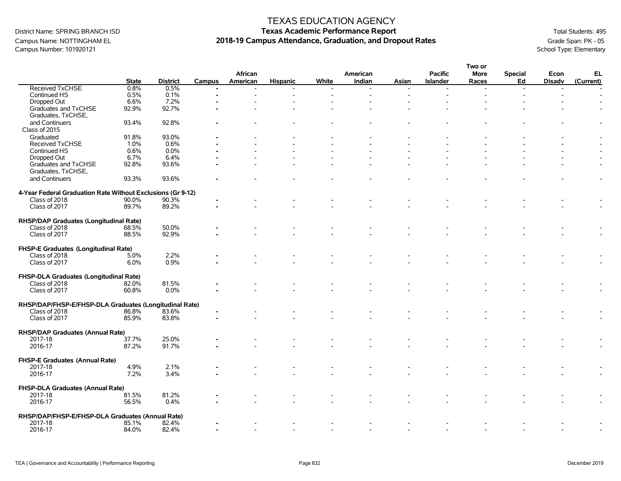Campus Name: NOTTINGHAM EL **2018-19 Campus Attendance, Graduation, and Dropout Rates** Grade Span: PK - 05 Campus Number: 101920121 Campus Number: 101920121 Campus Number: 101920121

### District Name: SPRING BRANCH ISD **Texas Academic Performance Report** Total Students: 495

**Two or**

|                                                             |              |                 |               |          |                 |       |          |       |                 | וט טאו |                |               |           |
|-------------------------------------------------------------|--------------|-----------------|---------------|----------|-----------------|-------|----------|-------|-----------------|--------|----------------|---------------|-----------|
|                                                             |              |                 |               | African  |                 |       | American |       | <b>Pacific</b>  | More   | <b>Special</b> | Econ          | EL        |
|                                                             | <b>State</b> | <b>District</b> | <b>Campus</b> | American | <b>Hispanic</b> | White | Indian   | Asian | <b>Islander</b> | Races  | Ed             | <b>Disadv</b> | (Current) |
| Received TxCHSE                                             | 0.8%         | 0.5%            |               |          |                 |       |          |       |                 |        |                |               |           |
| Continued HS                                                | 0.5%         | 0.1%            |               |          |                 |       |          |       |                 |        |                |               |           |
| Dropped Out                                                 | 6.6%         | 7.2%            |               |          |                 |       |          |       |                 |        |                |               |           |
| Graduates and TxCHSE                                        | 92.9%        | 92.7%           |               |          |                 |       |          |       |                 |        |                |               |           |
| Graduates, TxCHSE,                                          |              |                 |               |          |                 |       |          |       |                 |        |                |               |           |
| and Continuers                                              | 93.4%        | 92.8%           |               |          |                 |       |          |       |                 |        |                |               |           |
| Class of 2015                                               |              |                 |               |          |                 |       |          |       |                 |        |                |               |           |
|                                                             |              |                 |               |          |                 |       |          |       |                 |        |                |               |           |
| Graduated                                                   | 91.8%        | 93.0%           |               |          |                 |       |          |       |                 |        |                |               |           |
| Received TxCHSE                                             | 1.0%         | 0.6%            |               |          |                 |       |          |       |                 |        |                |               |           |
| Continued HS                                                | 0.6%         | 0.0%            |               |          |                 |       |          |       |                 |        |                |               |           |
| Dropped Out                                                 | 6.7%         | 6.4%            |               |          |                 |       |          |       |                 |        |                |               |           |
| Graduates and TxCHSE                                        | 92.8%        | 93.6%           |               |          |                 |       |          |       |                 |        |                |               |           |
| Graduates, TxCHSE,                                          |              |                 |               |          |                 |       |          |       |                 |        |                |               |           |
| and Continuers                                              | 93.3%        | 93.6%           |               |          |                 |       |          |       |                 |        |                |               |           |
|                                                             |              |                 |               |          |                 |       |          |       |                 |        |                |               |           |
| 4-Year Federal Graduation Rate Without Exclusions (Gr 9-12) |              |                 |               |          |                 |       |          |       |                 |        |                |               |           |
| Class of 2018                                               | 90.0%        | 90.3%           |               |          |                 |       |          |       |                 |        |                |               |           |
| Class of 2017                                               | 89.7%        | 89.2%           |               |          |                 |       |          |       |                 |        |                |               |           |
|                                                             |              |                 |               |          |                 |       |          |       |                 |        |                |               |           |
| RHSP/DAP Graduates (Longitudinal Rate)                      |              |                 |               |          |                 |       |          |       |                 |        |                |               |           |
| Class of 2018                                               | 68.5%        | 50.0%           |               |          |                 |       |          |       |                 |        |                |               |           |
| Class of 2017                                               | 88.5%        | 92.9%           |               |          |                 |       |          |       |                 |        |                |               |           |
|                                                             |              |                 |               |          |                 |       |          |       |                 |        |                |               |           |
|                                                             |              |                 |               |          |                 |       |          |       |                 |        |                |               |           |
| <b>FHSP-E Graduates (Longitudinal Rate)</b>                 |              |                 |               |          |                 |       |          |       |                 |        |                |               |           |
| Class of 2018                                               | 5.0%         | 2.2%            |               |          |                 |       |          |       |                 |        |                |               |           |
| Class of 2017                                               | 6.0%         | 0.9%            |               |          |                 |       |          |       |                 |        |                |               |           |
|                                                             |              |                 |               |          |                 |       |          |       |                 |        |                |               |           |
| FHSP-DLA Graduates (Longitudinal Rate)                      |              |                 |               |          |                 |       |          |       |                 |        |                |               |           |
| Class of 2018                                               | 82.0%        | 81.5%           |               |          |                 |       |          |       |                 |        |                |               |           |
| Class of 2017                                               | 60.8%        | 0.0%            |               |          |                 |       |          |       |                 |        |                |               |           |
|                                                             |              |                 |               |          |                 |       |          |       |                 |        |                |               |           |
| RHSP/DAP/FHSP-E/FHSP-DLA Graduates (Longitudinal Rate)      |              |                 |               |          |                 |       |          |       |                 |        |                |               |           |
| Class of 2018                                               | 86.8%        | 83.6%           |               |          |                 |       |          |       |                 |        |                |               |           |
| Class of 2017                                               | 85.9%        | 83.8%           |               |          |                 |       |          |       |                 |        |                |               |           |
|                                                             |              |                 |               |          |                 |       |          |       |                 |        |                |               |           |
| RHSP/DAP Graduates (Annual Rate)                            |              |                 |               |          |                 |       |          |       |                 |        |                |               |           |
| 2017-18                                                     | 37.7%        | 25.0%           |               |          |                 |       |          |       |                 |        |                |               |           |
| 2016-17                                                     | 87.2%        | 91.7%           |               |          |                 |       |          |       |                 |        |                |               |           |
|                                                             |              |                 |               |          |                 |       |          |       |                 |        |                |               |           |
|                                                             |              |                 |               |          |                 |       |          |       |                 |        |                |               |           |
| FHSP-E Graduates (Annual Rate)                              |              |                 |               |          |                 |       |          |       |                 |        |                |               |           |
| 2017-18                                                     | 4.9%         | 2.1%            |               |          |                 |       |          |       |                 |        |                |               |           |
| 2016-17                                                     | 7.2%         | 3.4%            |               |          |                 |       |          |       |                 |        |                |               |           |
|                                                             |              |                 |               |          |                 |       |          |       |                 |        |                |               |           |
| <b>FHSP-DLA Graduates (Annual Rate)</b>                     |              |                 |               |          |                 |       |          |       |                 |        |                |               |           |
| 2017-18                                                     | 81.5%        | 81.2%           |               |          |                 |       |          |       |                 |        |                |               |           |
| 2016-17                                                     | 56.5%        | 0.4%            |               |          |                 |       |          |       |                 |        |                |               |           |
|                                                             |              |                 |               |          |                 |       |          |       |                 |        |                |               |           |
| RHSP/DAP/FHSP-E/FHSP-DLA Graduates (Annual Rate)            |              |                 |               |          |                 |       |          |       |                 |        |                |               |           |
| 2017-18                                                     | 85.1%        | 82.4%           |               |          |                 |       |          |       |                 |        |                |               |           |
| 2016-17                                                     | 84.0%        | 82.4%           |               |          |                 |       |          |       |                 |        |                |               |           |
|                                                             |              |                 |               |          |                 |       |          |       |                 |        |                |               |           |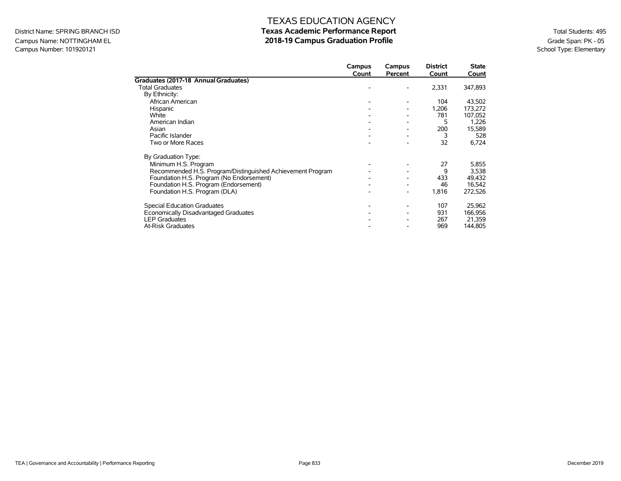#### District Name: SPRING BRANCH ISD **Texas Academic Performance Report** Total Students: 495 **2018-19 Campus Graduation Profile** Graduation **Profile** Grade Span: PK - 05

School Type: Elementary

| Campus Name: NOTTINGHAM EL |
|----------------------------|
| Campus Number: 101920121   |
|                            |

|                                                            | Campus<br>Count | Campus<br>Percent | <b>District</b><br>Count | <b>State</b><br>Count |
|------------------------------------------------------------|-----------------|-------------------|--------------------------|-----------------------|
| Graduates (2017-18 Annual Graduates)                       |                 |                   |                          |                       |
| <b>Total Graduates</b>                                     |                 |                   | 2,331                    | 347,893               |
| By Ethnicity:                                              |                 |                   |                          |                       |
| African American                                           |                 |                   | 104                      | 43,502                |
| Hispanic                                                   |                 |                   | 1,206                    | 173,272               |
| White                                                      |                 |                   | 781                      | 107,052               |
| American Indian                                            |                 |                   | 5                        | 1,226                 |
| Asian                                                      |                 |                   | 200                      | 15,589                |
| Pacific Islander                                           |                 |                   | 3                        | 528                   |
| Two or More Races                                          |                 |                   | 32                       | 6,724                 |
| By Graduation Type:                                        |                 |                   |                          |                       |
| Minimum H.S. Program                                       |                 |                   | 27                       | 5,855                 |
| Recommended H.S. Program/Distinguished Achievement Program |                 |                   | 9                        | 3,538                 |
| Foundation H.S. Program (No Endorsement)                   |                 |                   | 433                      | 49,432                |
| Foundation H.S. Program (Endorsement)                      |                 |                   | 46                       | 16,542                |
| Foundation H.S. Program (DLA)                              |                 |                   | 1,816                    | 272,526               |
| <b>Special Education Graduates</b>                         |                 |                   | 107                      | 25,962                |
| Economically Disadvantaged Graduates                       |                 |                   | 931                      | 166,956               |
| <b>LEP Graduates</b>                                       |                 |                   | 267                      | 21,359                |
| <b>At-Risk Graduates</b>                                   |                 |                   | 969                      | 144,805               |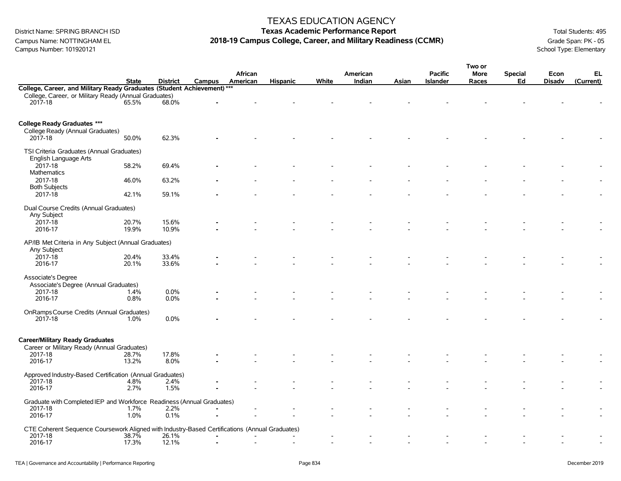Campus Name: NOTTINGHAM EL **2018-19 Campus College, Career, and Military Readiness (CCMR)** Grade Span: PK - 05<br>Campus Number: 101920121<br>School Type: Elementary Campus Number: 101920121

### District Name: SPRING BRANCH ISD **Texas Academic Performance Report** Total Students: 495

**Two or**

|                                                                                                |              |                 |        |          |                 |       |          |       |                 | ו שטו |                |               |           |
|------------------------------------------------------------------------------------------------|--------------|-----------------|--------|----------|-----------------|-------|----------|-------|-----------------|-------|----------------|---------------|-----------|
|                                                                                                |              |                 |        | African  |                 |       | American |       | <b>Pacific</b>  | More  | <b>Special</b> | Econ          | EL        |
| College, Career, and Military Ready Graduates (Student Achievement) ***                        | <b>State</b> | <b>District</b> | Campus | American | <b>Hispanic</b> | White | Indian   | Asian | <b>Islander</b> | Races | Ed             | <b>Disadv</b> | (Current) |
|                                                                                                |              |                 |        |          |                 |       |          |       |                 |       |                |               |           |
| College, Career, or Military Ready (Annual Graduates)                                          |              |                 |        |          |                 |       |          |       |                 |       |                |               |           |
| 2017-18                                                                                        | 65.5%        | 68.0%           |        |          |                 |       |          |       |                 |       |                |               |           |
|                                                                                                |              |                 |        |          |                 |       |          |       |                 |       |                |               |           |
|                                                                                                |              |                 |        |          |                 |       |          |       |                 |       |                |               |           |
| <b>College Ready Graduates ***</b>                                                             |              |                 |        |          |                 |       |          |       |                 |       |                |               |           |
| College Ready (Annual Graduates)                                                               |              |                 |        |          |                 |       |          |       |                 |       |                |               |           |
| 2017-18                                                                                        | 50.0%        | 62.3%           |        |          |                 |       |          |       |                 |       |                |               |           |
|                                                                                                |              |                 |        |          |                 |       |          |       |                 |       |                |               |           |
| TSI Criteria Graduates (Annual Graduates)                                                      |              |                 |        |          |                 |       |          |       |                 |       |                |               |           |
| English Language Arts                                                                          |              |                 |        |          |                 |       |          |       |                 |       |                |               |           |
| 2017-18                                                                                        | 58.2%        | 69.4%           |        |          |                 |       |          |       |                 |       |                |               |           |
| Mathematics                                                                                    |              |                 |        |          |                 |       |          |       |                 |       |                |               |           |
| 2017-18                                                                                        | 46.0%        | 63.2%           |        |          |                 |       |          |       |                 |       |                |               |           |
| <b>Both Subjects</b>                                                                           |              |                 |        |          |                 |       |          |       |                 |       |                |               |           |
| 2017-18                                                                                        | 42.1%        | 59.1%           |        |          |                 |       |          |       |                 |       |                |               |           |
|                                                                                                |              |                 |        |          |                 |       |          |       |                 |       |                |               |           |
| Dual Course Credits (Annual Graduates)                                                         |              |                 |        |          |                 |       |          |       |                 |       |                |               |           |
| Any Subject                                                                                    |              |                 |        |          |                 |       |          |       |                 |       |                |               |           |
|                                                                                                |              |                 |        |          |                 |       |          |       |                 |       |                |               |           |
| 2017-18                                                                                        | 20.7%        | 15.6%           |        |          |                 |       |          |       |                 |       |                |               |           |
| 2016-17                                                                                        | 19.9%        | 10.9%           |        |          |                 |       |          |       |                 |       |                |               |           |
|                                                                                                |              |                 |        |          |                 |       |          |       |                 |       |                |               |           |
| AP/IB Met Criteria in Any Subject (Annual Graduates)                                           |              |                 |        |          |                 |       |          |       |                 |       |                |               |           |
| Any Subject                                                                                    |              |                 |        |          |                 |       |          |       |                 |       |                |               |           |
| 2017-18                                                                                        | 20.4%        | 33.4%           |        |          |                 |       |          |       |                 |       |                |               |           |
| 2016-17                                                                                        | 20.1%        | 33.6%           |        |          |                 |       |          |       |                 |       |                |               |           |
|                                                                                                |              |                 |        |          |                 |       |          |       |                 |       |                |               |           |
| Associate's Degree                                                                             |              |                 |        |          |                 |       |          |       |                 |       |                |               |           |
| Associate's Degree (Annual Graduates)                                                          |              |                 |        |          |                 |       |          |       |                 |       |                |               |           |
| 2017-18                                                                                        | 1.4%         | 0.0%            |        |          |                 |       |          |       |                 |       |                |               |           |
| 2016-17                                                                                        | 0.8%         | 0.0%            |        |          |                 |       |          |       |                 |       |                |               |           |
|                                                                                                |              |                 |        |          |                 |       |          |       |                 |       |                |               |           |
| OnRamps Course Credits (Annual Graduates)                                                      |              |                 |        |          |                 |       |          |       |                 |       |                |               |           |
| 2017-18                                                                                        | 1.0%         | 0.0%            |        |          |                 |       |          |       |                 |       |                |               |           |
|                                                                                                |              |                 |        |          |                 |       |          |       |                 |       |                |               |           |
|                                                                                                |              |                 |        |          |                 |       |          |       |                 |       |                |               |           |
| <b>Career/Military Ready Graduates</b>                                                         |              |                 |        |          |                 |       |          |       |                 |       |                |               |           |
| Career or Military Ready (Annual Graduates)                                                    |              |                 |        |          |                 |       |          |       |                 |       |                |               |           |
| 2017-18                                                                                        | 28.7%        | 17.8%           |        |          |                 |       |          |       |                 |       |                |               |           |
| 2016-17                                                                                        | 13.2%        | 8.0%            |        |          |                 |       |          |       |                 |       |                |               |           |
|                                                                                                |              |                 |        |          |                 |       |          |       |                 |       |                |               |           |
| Approved Industry-Based Certification (Annual Graduates)                                       |              |                 |        |          |                 |       |          |       |                 |       |                |               |           |
| 2017-18                                                                                        | 4.8%         | 2.4%            |        |          |                 |       |          |       |                 |       |                |               |           |
| 2016-17                                                                                        | 2.7%         | 1.5%            |        |          |                 |       |          |       |                 |       |                |               |           |
|                                                                                                |              |                 |        |          |                 |       |          |       |                 |       |                |               |           |
| Graduate with Completed IEP and Workforce Readiness (Annual Graduates)                         |              |                 |        |          |                 |       |          |       |                 |       |                |               |           |
| 2017-18                                                                                        | 1.7%         | 2.2%            |        |          |                 |       |          |       |                 |       |                |               |           |
|                                                                                                | 1.0%         |                 |        |          |                 |       |          |       |                 |       |                |               |           |
| 2016-17                                                                                        |              | 0.1%            |        |          |                 |       |          |       |                 |       |                |               |           |
|                                                                                                |              |                 |        |          |                 |       |          |       |                 |       |                |               |           |
| CTE Coherent Sequence Coursework Aligned with Industry-Based Certifications (Annual Graduates) |              |                 |        |          |                 |       |          |       |                 |       |                |               |           |
| 2017-18                                                                                        | 38.7%        | 26.1%           |        |          |                 |       |          |       |                 |       |                |               |           |
| 2016-17                                                                                        | 17.3%        | 12.1%           |        |          |                 |       |          |       |                 |       |                |               |           |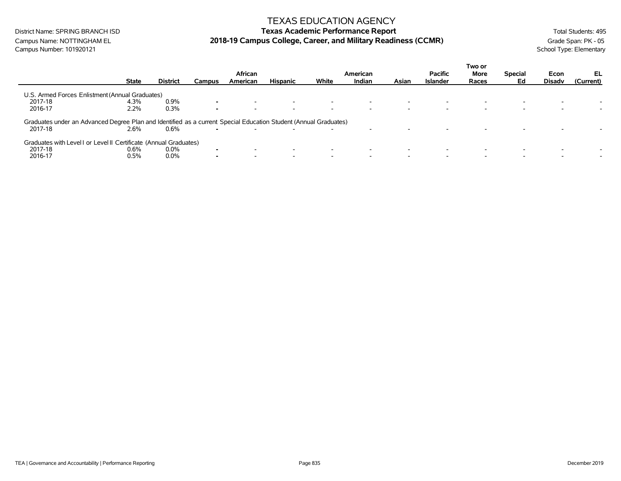Campus Name: NOTTINGHAM EL **2018-19 Campus College, Career, and Military Readiness (CCMR)** Grade Span: PK - 05<br>Campus Number: 101920121<br>School Type: Elementary Campus Number: 101920121

|                                                                                                                  |              |                 | African                  |                          | American                 |                          |        | <b>Pacific</b> | Two or<br><b>More</b>    | <b>Special</b>           | Econ                     | EL            |           |
|------------------------------------------------------------------------------------------------------------------|--------------|-----------------|--------------------------|--------------------------|--------------------------|--------------------------|--------|----------------|--------------------------|--------------------------|--------------------------|---------------|-----------|
|                                                                                                                  | <b>State</b> | <b>District</b> | Campus                   | American                 | Hispanic                 | White                    | Indian | Asian          | Islander                 | Races                    | Ed                       | <b>Disadv</b> | (Current) |
| U.S. Armed Forces Enlistment (Annual Graduates)                                                                  |              |                 |                          |                          |                          |                          |        |                |                          |                          |                          |               |           |
| 2017-18                                                                                                          | 4.3%         | 0.9%            | $\blacksquare$           |                          |                          |                          |        |                |                          |                          |                          |               |           |
| 2016-17                                                                                                          | 2.2%         | 0.3%            | $\sim$                   | $\overline{\phantom{a}}$ | $\overline{\phantom{0}}$ | $\overline{\phantom{0}}$ |        | -              | $\overline{\phantom{0}}$ | $\overline{\phantom{0}}$ | $\overline{\phantom{0}}$ |               |           |
| Graduates under an Advanced Degree Plan and Identified as a current Special Education Student (Annual Graduates) |              |                 |                          |                          |                          |                          |        |                |                          |                          |                          |               |           |
| 2017-18                                                                                                          | 2.6%         | 0.6%            |                          |                          |                          |                          |        |                |                          |                          |                          |               |           |
| Graduates with Level I or Level II Certificate (Annual Graduates)                                                |              |                 |                          |                          |                          |                          |        |                |                          |                          |                          |               |           |
| 2017-18                                                                                                          | $0.6\%$      | $0.0\%$         | $\sim$                   | $\overline{\phantom{0}}$ | $\overline{\phantom{0}}$ |                          | -      | ۰.             | $\overline{\phantom{0}}$ | $\overline{\phantom{0}}$ |                          |               |           |
| 2016-17                                                                                                          | $0.5\%$      | $0.0\%$         | $\overline{\phantom{a}}$ |                          |                          |                          |        |                |                          |                          |                          |               |           |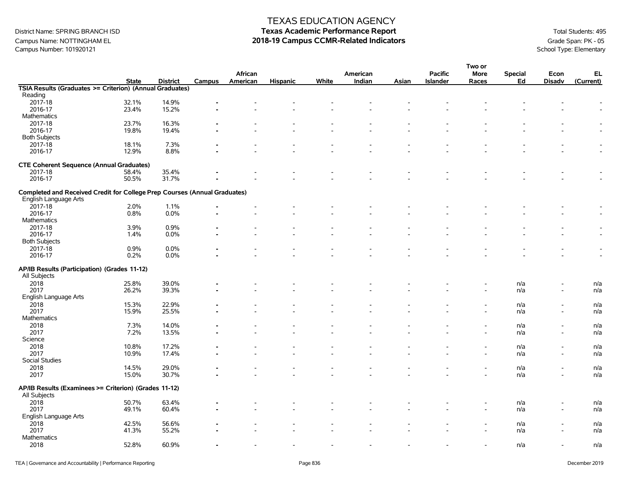Campus Name: NOTTINGHAM EL **2018-19 Campus CCMR-Related Indicators** Grade Span: PK - 05<br>Campus Number: 101920121<br>School Type: Elementary Campus Number: 101920121

|                                                                           |              |                 |               |          |                 |       |          |       |                | Two or         |                |                          |                          |
|---------------------------------------------------------------------------|--------------|-----------------|---------------|----------|-----------------|-------|----------|-------|----------------|----------------|----------------|--------------------------|--------------------------|
|                                                                           |              |                 |               | African  |                 |       | American |       | <b>Pacific</b> | <b>More</b>    | <b>Special</b> | Econ                     | EL                       |
|                                                                           | <b>State</b> | <b>District</b> | <b>Campus</b> | American | <b>Hispanic</b> | White | Indian   | Asian | Islander       | Races          | Ed             | <b>Disadv</b>            | (Current)                |
| TSIA Results (Graduates >= Criterion) (Annual Graduates)                  |              |                 |               |          |                 |       |          |       |                |                |                |                          |                          |
| Reading                                                                   |              |                 |               |          |                 |       |          |       |                |                |                |                          |                          |
| 2017-18                                                                   | 32.1%        | 14.9%           |               |          |                 |       |          |       |                |                |                |                          |                          |
| 2016-17                                                                   | 23.4%        | 15.2%           |               |          |                 |       |          |       |                |                |                |                          |                          |
| Mathematics                                                               |              |                 |               |          |                 |       |          |       |                |                |                |                          |                          |
| 2017-18                                                                   | 23.7%        | 16.3%           |               |          |                 |       |          |       |                |                |                |                          |                          |
| 2016-17                                                                   | 19.8%        | 19.4%           |               |          |                 |       |          |       |                |                |                |                          | $\overline{a}$           |
| <b>Both Subjects</b>                                                      |              |                 |               |          |                 |       |          |       |                |                |                |                          |                          |
| 2017-18                                                                   | 18.1%        | 7.3%            |               |          |                 |       |          |       |                |                |                |                          | $\overline{\phantom{a}}$ |
| 2016-17                                                                   | 12.9%        | 8.8%            |               |          |                 |       |          |       |                |                |                |                          | $\overline{\phantom{a}}$ |
|                                                                           |              |                 |               |          |                 |       |          |       |                |                |                |                          |                          |
| <b>CTE Coherent Sequence (Annual Graduates)</b>                           |              |                 |               |          |                 |       |          |       |                |                |                |                          |                          |
| 2017-18                                                                   | 58.4%        | 35.4%           |               |          |                 |       |          |       |                |                |                |                          |                          |
| 2016-17                                                                   | 50.5%        | 31.7%           |               |          |                 |       |          |       |                |                |                |                          |                          |
|                                                                           |              |                 |               |          |                 |       |          |       |                |                |                |                          |                          |
| Completed and Received Credit for College Prep Courses (Annual Graduates) |              |                 |               |          |                 |       |          |       |                |                |                |                          |                          |
| English Language Arts                                                     |              |                 |               |          |                 |       |          |       |                |                |                |                          |                          |
| 2017-18                                                                   | 2.0%         | 1.1%            |               |          |                 |       |          |       |                |                |                |                          |                          |
| 2016-17                                                                   | 0.8%         | 0.0%            |               |          |                 |       |          |       |                |                |                |                          |                          |
| Mathematics                                                               |              |                 |               |          |                 |       |          |       |                |                |                |                          |                          |
| 2017-18                                                                   | 3.9%         | 0.9%            |               |          |                 |       |          |       |                |                |                |                          |                          |
| 2016-17                                                                   | 1.4%         | 0.0%            |               |          |                 |       |          |       |                |                |                |                          | $\blacksquare$           |
| <b>Both Subjects</b>                                                      |              |                 |               |          |                 |       |          |       |                |                |                |                          |                          |
| 2017-18                                                                   | 0.9%         | 0.0%            |               |          |                 |       |          |       |                |                |                |                          |                          |
| 2016-17                                                                   | 0.2%         | 0.0%            |               |          |                 |       |          |       |                |                |                |                          | $\overline{a}$           |
|                                                                           |              |                 |               |          |                 |       |          |       |                |                |                |                          |                          |
| AP/IB Results (Participation) (Grades 11-12)<br>All Subjects              |              |                 |               |          |                 |       |          |       |                |                |                |                          |                          |
| 2018                                                                      | 25.8%        | 39.0%           |               |          |                 |       |          |       |                |                | n/a            |                          | n/a                      |
| 2017                                                                      | 26.2%        | 39.3%           |               |          |                 |       |          |       |                |                | n/a            | $\overline{\phantom{a}}$ | n/a                      |
| English Language Arts                                                     |              |                 |               |          |                 |       |          |       |                |                |                |                          |                          |
| 2018                                                                      | 15.3%        | 22.9%           |               |          |                 |       |          |       |                |                | n/a            |                          | n/a                      |
| 2017                                                                      | 15.9%        | 25.5%           |               |          |                 |       |          |       |                |                | n/a            | $\sim$                   | n/a                      |
| Mathematics                                                               |              |                 |               |          |                 |       |          |       |                |                |                |                          |                          |
| 2018                                                                      | 7.3%         | 14.0%           |               |          |                 |       |          |       |                |                | n/a            |                          | n/a                      |
| 2017                                                                      | 7.2%         | 13.5%           |               |          |                 |       |          |       |                |                | n/a            | $\overline{\phantom{a}}$ | n/a                      |
| Science                                                                   |              |                 |               |          |                 |       |          |       |                |                |                |                          |                          |
| 2018                                                                      | 10.8%        | 17.2%           |               |          |                 |       |          |       |                |                | n/a            |                          | n/a                      |
| 2017                                                                      | 10.9%        | 17.4%           |               |          |                 |       |          |       |                | $\overline{a}$ | n/a            | $\overline{\phantom{a}}$ | n/a                      |
| Social Studies                                                            |              |                 |               |          |                 |       |          |       |                |                |                |                          |                          |
| 2018                                                                      | 14.5%        | 29.0%           |               |          |                 |       |          |       |                |                | n/a            |                          | n/a                      |
| 2017                                                                      | 15.0%        | 30.7%           |               |          |                 |       |          |       |                |                | n/a            |                          | n/a                      |
|                                                                           |              |                 |               |          |                 |       |          |       |                |                |                |                          |                          |
| AP/IB Results (Examinees >= Criterion) (Grades 11-12)<br>All Subjects     |              |                 |               |          |                 |       |          |       |                |                |                |                          |                          |
| 2018                                                                      | 50.7%        | 63.4%           |               |          |                 |       |          |       |                |                | n/a            |                          | n/a                      |
| 2017                                                                      | 49.1%        | 60.4%           |               |          |                 |       |          |       |                |                | n/a            |                          | n/a                      |
| English Language Arts                                                     |              |                 |               |          |                 |       |          |       |                |                |                |                          |                          |
| 2018                                                                      | 42.5%        | 56.6%           |               |          |                 |       |          |       |                |                | n/a            |                          | n/a                      |
| 2017                                                                      | 41.3%        | 55.2%           |               |          |                 |       |          |       |                |                | n/a            |                          | n/a                      |
| <b>Mathematics</b>                                                        |              |                 |               |          |                 |       |          |       |                |                |                |                          |                          |
| 2018                                                                      | 52.8%        | 60.9%           |               |          |                 |       |          |       |                |                | n/a            |                          | n/a                      |
|                                                                           |              |                 |               |          |                 |       |          |       |                |                |                |                          |                          |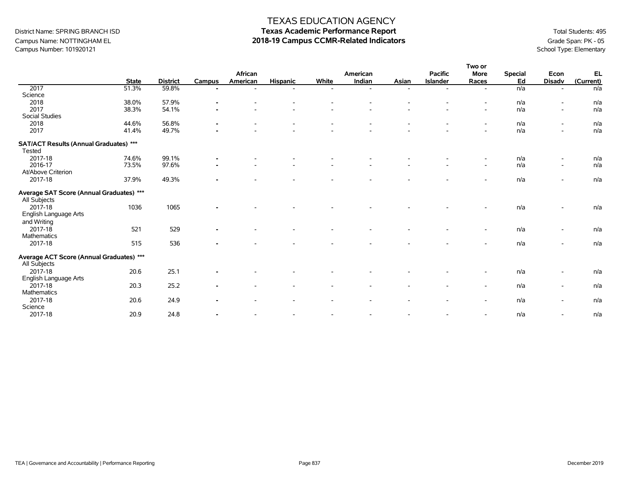Campus Name: NOTTINGHAM EL **2018-19 Campus CCMR-Related Indicators** Grade Span: PK - 05<br>Campus Number: 101920121<br>School Type: Elementary Campus Number: 101920121

|                                                          |              |                 | African        |          |                          |       | American       |       | <b>Pacific</b>           |                          | <b>Special</b> | Econ                         | EL        |
|----------------------------------------------------------|--------------|-----------------|----------------|----------|--------------------------|-------|----------------|-------|--------------------------|--------------------------|----------------|------------------------------|-----------|
|                                                          | <b>State</b> | <b>District</b> | Campus         | American | <b>Hispanic</b>          | White | Indian         | Asian | Islander                 | Races                    | Ed             | <b>Disadv</b>                | (Current) |
| 2017                                                     | 51.3%        | 59.8%           |                |          | $\overline{\phantom{a}}$ |       | $\blacksquare$ |       | $\overline{\phantom{a}}$ |                          | n/a            |                              | n/a       |
| Science                                                  |              |                 |                |          |                          |       |                |       |                          |                          |                |                              |           |
| 2018                                                     | 38.0%        | 57.9%           |                |          |                          |       |                |       |                          |                          | n/a            | $\qquad \qquad \blacksquare$ | n/a       |
| 2017                                                     | 38.3%        | 54.1%           |                |          |                          |       |                |       |                          | $\overline{\phantom{a}}$ | n/a            | $\overline{\phantom{a}}$     | n/a       |
| Social Studies                                           |              |                 |                |          |                          |       |                |       |                          |                          |                |                              |           |
| 2018                                                     | 44.6%        | 56.8%           |                |          |                          |       |                |       |                          |                          | n/a            | $\overline{\phantom{a}}$     | n/a       |
| 2017                                                     | 41.4%        | 49.7%           |                |          |                          |       |                |       |                          |                          | n/a            | $\blacksquare$               | n/a       |
| SAT/ACT Results (Annual Graduates) ***                   |              |                 |                |          |                          |       |                |       |                          |                          |                |                              |           |
| Tested                                                   |              |                 |                |          |                          |       |                |       |                          |                          |                |                              |           |
| 2017-18                                                  | 74.6%        | 99.1%           |                |          |                          |       |                |       |                          |                          | n/a            |                              | n/a       |
| 2016-17                                                  | 73.5%        | 97.6%           |                |          |                          |       |                |       |                          | $\overline{\phantom{a}}$ | n/a            | $\blacksquare$               | n/a       |
| At/Above Criterion                                       |              |                 |                |          |                          |       |                |       |                          |                          |                |                              |           |
| 2017-18                                                  | 37.9%        | 49.3%           |                |          |                          |       |                |       |                          |                          | n/a            | $\qquad \qquad \blacksquare$ | n/a       |
| Average SAT Score (Annual Graduates) ***<br>All Subjects |              |                 |                |          |                          |       |                |       |                          |                          |                |                              |           |
| 2017-18<br>English Language Arts<br>and Writing          | 1036         | 1065            |                |          |                          |       |                |       |                          | $\overline{\phantom{a}}$ | n/a            | $\qquad \qquad \blacksquare$ | n/a       |
| 2017-18                                                  | 521          | 529             |                |          |                          |       |                |       |                          | $\overline{\phantom{a}}$ | n/a            | $\overline{\phantom{a}}$     | n/a       |
| Mathematics                                              |              |                 |                |          |                          |       |                |       |                          |                          |                |                              |           |
| 2017-18                                                  | 515          | 536             |                |          |                          |       |                |       |                          |                          | n/a            |                              | n/a       |
| Average ACT Score (Annual Graduates) ***                 |              |                 |                |          |                          |       |                |       |                          |                          |                |                              |           |
| All Subjects                                             |              |                 |                |          |                          |       |                |       |                          |                          |                |                              |           |
| 2017-18                                                  | 20.6         | 25.1            |                |          |                          |       |                |       |                          |                          | n/a            | $\overline{\phantom{a}}$     | n/a       |
| English Language Arts                                    |              |                 |                |          |                          |       |                |       |                          |                          |                |                              |           |
| 2017-18                                                  | 20.3         | 25.2            | $\blacksquare$ |          |                          |       |                |       |                          | $\overline{\phantom{a}}$ | n/a            | $\blacksquare$               | n/a       |
| <b>Mathematics</b>                                       |              |                 |                |          |                          |       |                |       |                          |                          |                |                              |           |
| 2017-18                                                  | 20.6         | 24.9            |                |          |                          |       |                |       |                          |                          | n/a            | ۰                            | n/a       |
| Science                                                  |              |                 |                |          |                          |       |                |       |                          |                          |                |                              |           |
| 2017-18                                                  | 20.9         | 24.8            |                |          |                          |       |                |       |                          |                          | n/a            |                              | n/a       |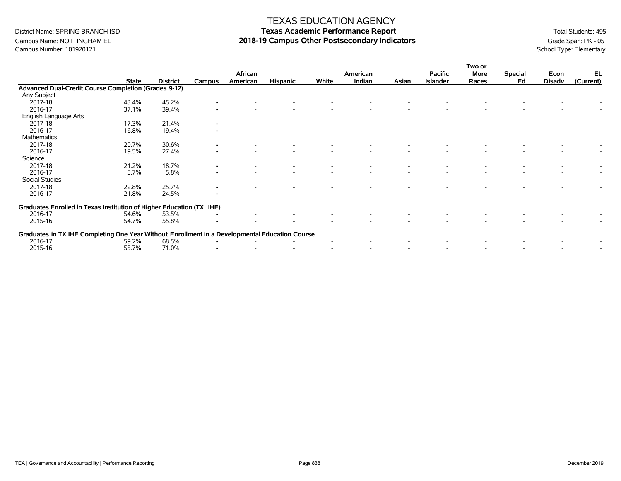Campus Name: NOTTINGHAM EL **2018-19 Campus Other Postsecondary Indicators** Grade Span: PK - 05<br>Campus Number: 101920121<br>School Type: Elementary Campus Number: 101920121

|                                                                                                |              |                 |         |          |                 |       |          |       |                 | Two or      |                |               |           |
|------------------------------------------------------------------------------------------------|--------------|-----------------|---------|----------|-----------------|-------|----------|-------|-----------------|-------------|----------------|---------------|-----------|
|                                                                                                |              |                 | African |          |                 |       | American |       | <b>Pacific</b>  | <b>More</b> | <b>Special</b> | Econ          | EL        |
|                                                                                                | <b>State</b> | <b>District</b> | Campus  | American | <b>Hispanic</b> | White | Indian   | Asian | <b>Islander</b> | Races       | Ed             | <b>Disadv</b> | (Current) |
| <b>Advanced Dual-Credit Course Completion (Grades 9-12)</b>                                    |              |                 |         |          |                 |       |          |       |                 |             |                |               |           |
| Any Subject                                                                                    |              |                 |         |          |                 |       |          |       |                 |             |                |               |           |
| 2017-18                                                                                        | 43.4%        | 45.2%           |         |          |                 |       |          |       |                 |             |                |               |           |
| 2016-17                                                                                        | 37.1%        | 39.4%           |         |          |                 |       |          |       |                 |             |                |               |           |
| English Language Arts                                                                          |              |                 |         |          |                 |       |          |       |                 |             |                |               |           |
| 2017-18                                                                                        | 17.3%        | 21.4%           |         |          |                 |       |          |       |                 |             |                |               |           |
| 2016-17                                                                                        | 16.8%        | 19.4%           |         |          |                 |       |          |       |                 |             |                |               |           |
| Mathematics                                                                                    |              |                 |         |          |                 |       |          |       |                 |             |                |               |           |
| 2017-18                                                                                        | 20.7%        | 30.6%           |         |          |                 |       |          |       |                 |             |                |               |           |
| 2016-17                                                                                        | 19.5%        | 27.4%           |         |          |                 |       |          |       |                 |             |                |               |           |
| Science                                                                                        |              |                 |         |          |                 |       |          |       |                 |             |                |               |           |
| 2017-18                                                                                        | 21.2%        | 18.7%           |         |          |                 |       |          |       |                 |             |                |               |           |
| 2016-17                                                                                        | 5.7%         | 5.8%            |         |          |                 |       |          |       |                 |             |                |               |           |
| Social Studies                                                                                 |              |                 |         |          |                 |       |          |       |                 |             |                |               |           |
| 2017-18                                                                                        | 22.8%        | 25.7%           |         |          |                 |       |          |       |                 |             |                |               |           |
| 2016-17                                                                                        | 21.8%        | 24.5%           |         |          |                 |       |          |       |                 |             |                |               |           |
| Graduates Enrolled in Texas Institution of Higher Education (TX IHE)                           |              |                 |         |          |                 |       |          |       |                 |             |                |               |           |
| 2016-17                                                                                        | 54.6%        | 53.5%           |         |          |                 |       |          |       |                 |             |                |               |           |
| 2015-16                                                                                        | 54.7%        | 55.8%           |         |          |                 |       |          |       |                 |             |                |               |           |
| Graduates in TX IHE Completing One Year Without Enrollment in a Developmental Education Course |              |                 |         |          |                 |       |          |       |                 |             |                |               |           |
| 2016-17                                                                                        | 59.2%        | 68.5%           |         |          |                 |       |          |       |                 |             |                |               |           |
| 2015-16                                                                                        | 55.7%        | 71.0%           |         |          |                 |       |          |       |                 |             |                |               |           |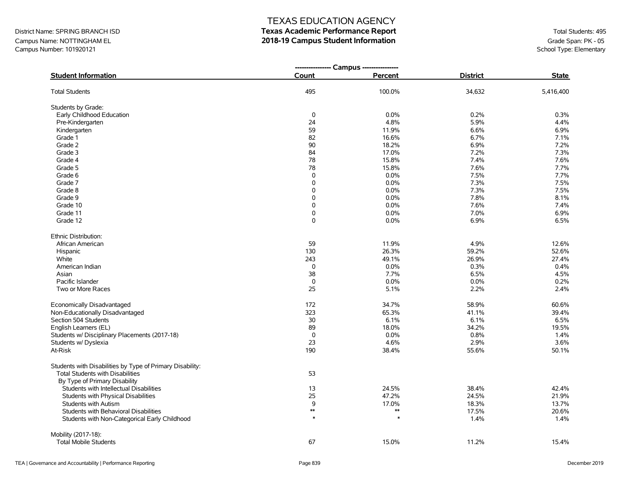### District Name: SPRING BRANCH ISD **Texas Academic Performance Report** Total Students: 495

Campus Name: NOTTINGHAM EL **2018-19 Campus Student Information**<br>Campus Number: 101920121<br>School Type: Elementary Campus Number: 101920121

|                                                           |             | ---------------- Campus --------------- |                 |              |
|-----------------------------------------------------------|-------------|-----------------------------------------|-----------------|--------------|
| <b>Student Information</b>                                | Count       | Percent                                 | <b>District</b> | <b>State</b> |
| <b>Total Students</b>                                     | 495         | 100.0%                                  | 34,632          | 5,416,400    |
| Students by Grade:                                        |             |                                         |                 |              |
| Early Childhood Education                                 | 0           | 0.0%                                    | 0.2%            | 0.3%         |
| Pre-Kindergarten                                          | 24          | 4.8%                                    | 5.9%            | 4.4%         |
| Kindergarten                                              | 59          | 11.9%                                   | 6.6%            | 6.9%         |
| Grade 1                                                   | 82          | 16.6%                                   | 6.7%            | 7.1%         |
| Grade 2                                                   | 90          | 18.2%                                   | 6.9%            | 7.2%         |
| Grade 3                                                   | 84          | 17.0%                                   | 7.2%            | 7.3%         |
| Grade 4                                                   | 78          | 15.8%                                   | 7.4%            | 7.6%         |
| Grade 5                                                   | 78          | 15.8%                                   | 7.6%            | 7.7%         |
| Grade 6                                                   | 0           | 0.0%                                    | 7.5%            | 7.7%         |
| Grade 7                                                   | $\mathbf 0$ | 0.0%                                    | 7.3%            | 7.5%         |
| Grade 8                                                   | 0           | 0.0%                                    | 7.3%            | 7.5%         |
| Grade 9                                                   | 0           | 0.0%                                    | 7.8%            | 8.1%         |
| Grade 10                                                  | 0           | 0.0%                                    | 7.6%            | 7.4%         |
| Grade 11                                                  | 0           | 0.0%                                    | 7.0%            | 6.9%         |
| Grade 12                                                  | 0           | 0.0%                                    | 6.9%            | 6.5%         |
| Ethnic Distribution:                                      |             |                                         |                 |              |
| African American                                          | 59          | 11.9%                                   | 4.9%            | 12.6%        |
| Hispanic                                                  | 130         | 26.3%                                   | 59.2%           | 52.6%        |
| White                                                     | 243         | 49.1%                                   | 26.9%           | 27.4%        |
| American Indian                                           | $\mathbf 0$ | 0.0%                                    | 0.3%            | 0.4%         |
| Asian                                                     | 38          | 7.7%                                    | 6.5%            | 4.5%         |
| Pacific Islander                                          | $\mathbf 0$ | 0.0%                                    | 0.0%            | 0.2%         |
| Two or More Races                                         | 25          | 5.1%                                    | 2.2%            | 2.4%         |
| Economically Disadvantaged                                | 172         | 34.7%                                   | 58.9%           | 60.6%        |
| Non-Educationally Disadvantaged                           | 323         | 65.3%                                   | 41.1%           | 39.4%        |
| Section 504 Students                                      | 30          | 6.1%                                    | 6.1%            | 6.5%         |
| English Learners (EL)                                     | 89          | 18.0%                                   | 34.2%           | 19.5%        |
| Students w/ Disciplinary Placements (2017-18)             | $\mathbf 0$ | 0.0%                                    | 0.8%            | 1.4%         |
| Students w/ Dyslexia                                      | 23          | 4.6%                                    | 2.9%            | 3.6%         |
| At-Risk                                                   | 190         | 38.4%                                   | 55.6%           | 50.1%        |
| Students with Disabilities by Type of Primary Disability: |             |                                         |                 |              |
| <b>Total Students with Disabilities</b>                   | 53          |                                         |                 |              |
| By Type of Primary Disability                             |             |                                         |                 |              |
| Students with Intellectual Disabilities                   | 13          | 24.5%                                   | 38.4%           | 42.4%        |
| Students with Physical Disabilities                       | 25          | 47.2%                                   | 24.5%           | 21.9%        |
| <b>Students with Autism</b>                               | 9           | 17.0%                                   | 18.3%           | 13.7%        |
| Students with Behavioral Disabilities                     | $\ast\ast$  | $**$                                    | 17.5%           | 20.6%        |
| Students with Non-Categorical Early Childhood             | $\ast$      | $\ast$                                  | 1.4%            | 1.4%         |
| Mobility (2017-18):                                       |             |                                         |                 |              |
| <b>Total Mobile Students</b>                              | 67          | 15.0%                                   | 11.2%           | 15.4%        |
|                                                           |             |                                         |                 |              |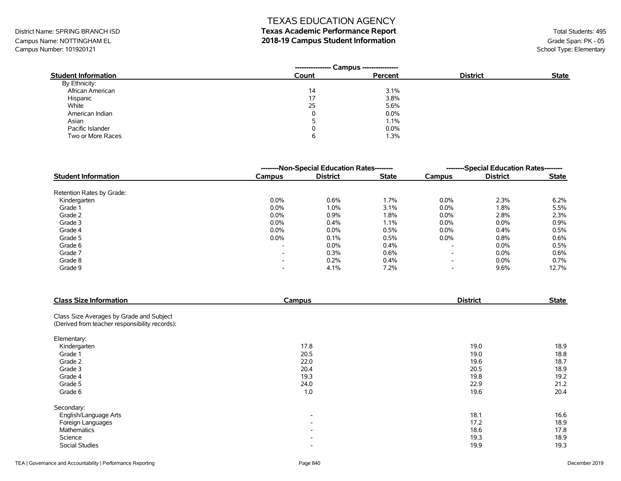# District Name: SPRING BRANCH ISD **Texas Academic Performance Report** Total Students: 495

Campus Name: NOTTINGHAM EL **2018-19 Campus Student Information**<br>Campus Number: 101920121<br>School Type: Elementary Campus Number: 101920121

|                            | Campus -----------------<br>---------------- |         |                 |              |
|----------------------------|----------------------------------------------|---------|-----------------|--------------|
| <b>Student Information</b> | Count                                        | Percent | <b>District</b> | <b>State</b> |
| By Ethnicity:              |                                              |         |                 |              |
| African American           | 14                                           | 3.1%    |                 |              |
| Hispanic                   | 17                                           | 3.8%    |                 |              |
| White                      | 25                                           | 5.6%    |                 |              |
| American Indian            | 0                                            | 0.0%    |                 |              |
| Asian                      |                                              | 1.1%    |                 |              |
| Pacific Islander           | 0                                            | 0.0%    |                 |              |
| Two or More Races          | 6                                            | 1.3%    |                 |              |

|                            |                          | --------Non-Special Education Rates-------- | --------Special Education Rates-------- |                          |                 |              |
|----------------------------|--------------------------|---------------------------------------------|-----------------------------------------|--------------------------|-----------------|--------------|
| <b>Student Information</b> | Campus                   | <b>District</b>                             | <b>State</b>                            | Campus                   | <b>District</b> | <b>State</b> |
| Retention Rates by Grade:  |                          |                                             |                                         |                          |                 |              |
| Kindergarten               | 0.0%                     | 0.6%                                        | 1.7%                                    | $0.0\%$                  | 2.3%            | 6.2%         |
| Grade 1                    | $0.0\%$                  | $1.0\%$                                     | 3.1%                                    | $0.0\%$                  | 1.8%            | 5.5%         |
| Grade 2                    | $0.0\%$                  | 0.9%                                        | 1.8%                                    | $0.0\%$                  | 2.8%            | 2.3%         |
| Grade 3                    | $0.0\%$                  | 0.4%                                        | $1.1\%$                                 | $0.0\%$                  | $0.0\%$         | 0.9%         |
| Grade 4                    | $0.0\%$                  | $0.0\%$                                     | $0.5\%$                                 | $0.0\%$                  | 0.4%            | 0.5%         |
| Grade 5                    | $0.0\%$                  | 0.1%                                        | $0.5\%$                                 | $0.0\%$                  | 0.8%            | 0.6%         |
| Grade 6                    | $\overline{\phantom{a}}$ | $0.0\%$                                     | 0.4%                                    | $\overline{\phantom{0}}$ | $0.0\%$         | 0.5%         |
| Grade 7                    | $\overline{\phantom{a}}$ | 0.3%                                        | 0.6%                                    | $\overline{\phantom{0}}$ | $0.0\%$         | 0.6%         |
| Grade 8                    | $\overline{\phantom{a}}$ | 0.2%                                        | $0.4\%$                                 | $\overline{\phantom{0}}$ | $0.0\%$         | 0.7%         |
| Grade 9                    | -                        | 4.1%                                        | 7.2%                                    | -                        | 9.6%            | 12.7%        |

| <b>Class Size Information</b>                  | Campus                   | <b>District</b> | <b>State</b> |
|------------------------------------------------|--------------------------|-----------------|--------------|
| Class Size Averages by Grade and Subject       |                          |                 |              |
| (Derived from teacher responsibility records): |                          |                 |              |
| Elementary:                                    |                          |                 |              |
| Kindergarten                                   | 17.8                     | 19.0            | 18.9         |
| Grade 1                                        | 20.5                     | 19.0            | 18.8         |
| Grade 2                                        | 22.0                     | 19.6            | 18.7         |
| Grade 3                                        | 20.4                     | 20.5            | 18.9         |
| Grade 4                                        | 19.3                     | 19.8            | 19.2         |
| Grade 5                                        | 24.0                     | 22.9            | 21.2         |
| Grade 6                                        | 1.0                      | 19.6            | 20.4         |
| Secondary:                                     |                          |                 |              |
| English/Language Arts                          | $\overline{\phantom{a}}$ | 18.1            | 16.6         |
| Foreign Languages                              | $\sim$                   | 17.2            | 18.9         |
| Mathematics                                    | $\overline{\phantom{a}}$ | 18.6            | 17.8         |
| Science                                        | $\overline{\phantom{a}}$ | 19.3            | 18.9         |
| <b>Social Studies</b>                          | $\overline{\phantom{a}}$ | 19.9            | 19.3         |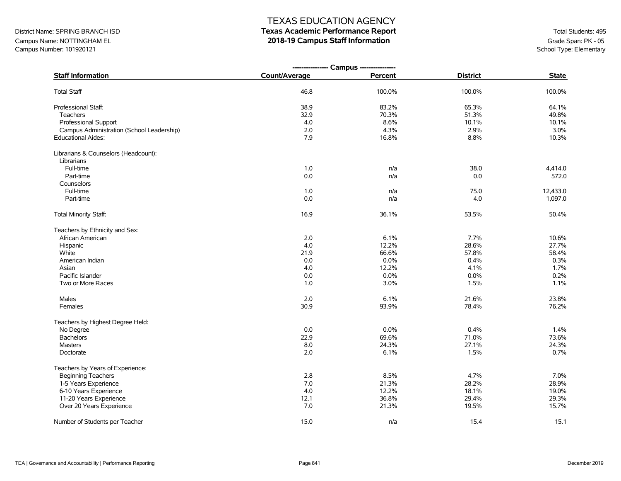## District Name: SPRING BRANCH ISD **Texas Academic Performance Report** Total Students: 495

Campus Name: NOTTINGHAM EL **2018-19 Campus Staff Information**<br>Campus Number: 101920121<br>School Type: Elementary Campus Number: 101920121

|                                           | ---------------- Campus ---------------- |         |                 |              |
|-------------------------------------------|------------------------------------------|---------|-----------------|--------------|
| <b>Staff Information</b>                  | Count/Average                            | Percent | <b>District</b> | <b>State</b> |
| <b>Total Staff</b>                        | 46.8                                     | 100.0%  | 100.0%          | 100.0%       |
| Professional Staff:                       | 38.9                                     | 83.2%   | 65.3%           | 64.1%        |
| Teachers                                  | 32.9                                     | 70.3%   | 51.3%           | 49.8%        |
| <b>Professional Support</b>               | 4.0                                      | 8.6%    | 10.1%           | 10.1%        |
| Campus Administration (School Leadership) | 2.0                                      | 4.3%    | 2.9%            | 3.0%         |
| <b>Educational Aides:</b>                 | 7.9                                      | 16.8%   | 8.8%            | 10.3%        |
| Librarians & Counselors (Headcount):      |                                          |         |                 |              |
| Librarians                                |                                          |         |                 |              |
| Full-time                                 | 1.0                                      | n/a     | 38.0            | 4,414.0      |
| Part-time                                 | 0.0                                      | n/a     | 0.0             | 572.0        |
| Counselors                                |                                          |         |                 |              |
| Full-time                                 | 1.0                                      | n/a     | 75.0            | 12,433.0     |
| Part-time                                 | 0.0                                      | n/a     | 4.0             | 1,097.0      |
| Total Minority Staff:                     | 16.9                                     | 36.1%   | 53.5%           | 50.4%        |
| Teachers by Ethnicity and Sex:            |                                          |         |                 |              |
| African American                          | 2.0                                      | 6.1%    | 7.7%            | 10.6%        |
| Hispanic                                  | 4.0                                      | 12.2%   | 28.6%           | 27.7%        |
| White                                     | 21.9                                     | 66.6%   | 57.8%           | 58.4%        |
| American Indian                           | 0.0                                      | 0.0%    | 0.4%            | 0.3%         |
| Asian                                     | 4.0                                      | 12.2%   | 4.1%            | 1.7%         |
| Pacific Islander                          | 0.0                                      | 0.0%    | 0.0%            | 0.2%         |
| Two or More Races                         | 1.0                                      | 3.0%    | 1.5%            | 1.1%         |
| Males                                     | 2.0                                      | 6.1%    | 21.6%           | 23.8%        |
| Females                                   | 30.9                                     | 93.9%   | 78.4%           | 76.2%        |
| Teachers by Highest Degree Held:          |                                          |         |                 |              |
| No Degree                                 | 0.0                                      | 0.0%    | 0.4%            | 1.4%         |
| <b>Bachelors</b>                          | 22.9                                     | 69.6%   | 71.0%           | 73.6%        |
| <b>Masters</b>                            | 8.0                                      | 24.3%   | 27.1%           | 24.3%        |
| Doctorate                                 | 2.0                                      | 6.1%    | 1.5%            | 0.7%         |
| Teachers by Years of Experience:          |                                          |         |                 |              |
| <b>Beginning Teachers</b>                 | 2.8                                      | 8.5%    | 4.7%            | 7.0%         |
| 1-5 Years Experience                      | 7.0                                      | 21.3%   | 28.2%           | 28.9%        |
| 6-10 Years Experience                     | 4.0                                      | 12.2%   | 18.1%           | 19.0%        |
| 11-20 Years Experience                    | 12.1                                     | 36.8%   | 29.4%           | 29.3%        |
| Over 20 Years Experience                  | 7.0                                      | 21.3%   | 19.5%           | 15.7%        |
| Number of Students per Teacher            | 15.0                                     | n/a     | 15.4            | 15.1         |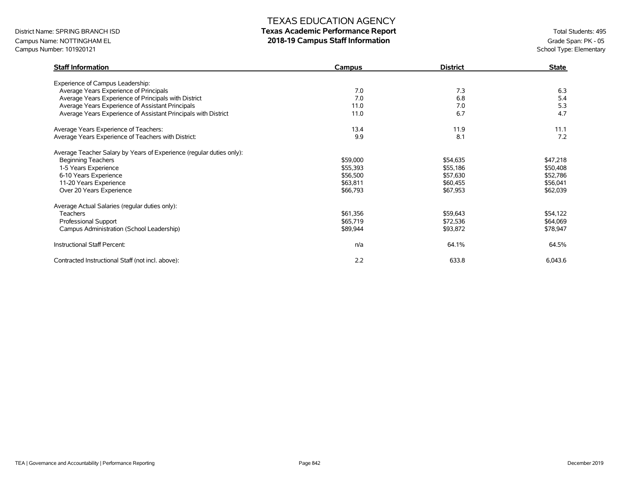### District Name: SPRING BRANCH ISD **Texas Academic Performance Report** Total Students: 495

Campus Name: NOTTINGHAM EL **2018-19 Campus Staff Information**<br>Campus Number: 101920121<br>School Type: Elementary Campus Number: 101920121

| <b>Staff Information</b>                                             | <b>Campus</b> | <b>District</b> | <b>State</b> |
|----------------------------------------------------------------------|---------------|-----------------|--------------|
| Experience of Campus Leadership:                                     |               |                 |              |
| Average Years Experience of Principals                               | 7.0           | 7.3             | 6.3          |
| Average Years Experience of Principals with District                 | 7.0           | 6.8             | 5.4          |
| Average Years Experience of Assistant Principals                     | 11.0          | 7.0             | 5.3          |
| Average Years Experience of Assistant Principals with District       | 11.0          | 6.7             | 4.7          |
| Average Years Experience of Teachers:                                | 13.4          | 11.9            | 11.1         |
| Average Years Experience of Teachers with District:                  | 9.9           | 8.1             | 7.2          |
| Average Teacher Salary by Years of Experience (regular duties only): |               |                 |              |
| <b>Beginning Teachers</b>                                            | \$59,000      | \$54,635        | \$47,218     |
| 1-5 Years Experience                                                 | \$55,393      | \$55,186        | \$50,408     |
| 6-10 Years Experience                                                | \$56,500      | \$57,630        | \$52,786     |
| 11-20 Years Experience                                               | \$63,811      | \$60,455        | \$56,041     |
| Over 20 Years Experience                                             | \$66,793      | \$67,953        | \$62,039     |
| Average Actual Salaries (regular duties only):                       |               |                 |              |
| <b>Teachers</b>                                                      | \$61,356      | \$59,643        | \$54,122     |
| Professional Support                                                 | \$65,719      | \$72,536        | \$64,069     |
| Campus Administration (School Leadership)                            | \$89,944      | \$93,872        | \$78,947     |
| Instructional Staff Percent:                                         | n/a           | 64.1%           | 64.5%        |
| Contracted Instructional Staff (not incl. above):                    | 2.2           | 633.8           | 6,043.6      |